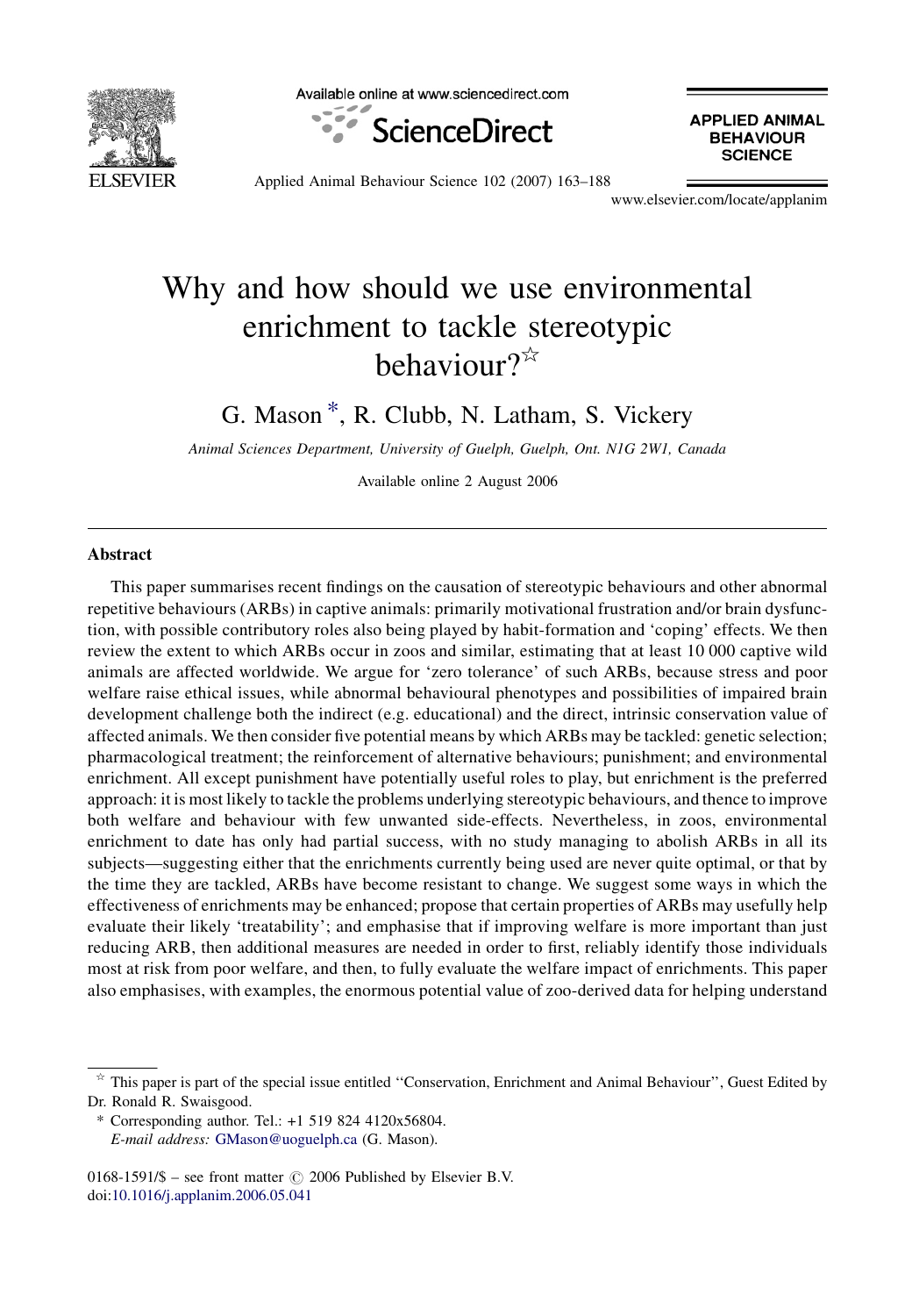

Available online at www.sciencedirect.com



**APPLIED ANIMAL BEHAVIOUR SCIENCE** 

Applied Animal Behaviour Science 102 (2007) 163–188

www.elsevier.com/locate/applanim

# Why and how should we use environmental enrichment to tackle stereotypic behaviour? $\mathbb{R}^{\uparrow}$

G. Mason \*, R. Clubb, N. Latham, S. Vickery

Animal Sciences Department, University of Guelph, Guelph, Ont. N1G 2W1, Canada

Available online 2 August 2006

#### Abstract

This paper summarises recent findings on the causation of stereotypic behaviours and other abnormal repetitive behaviours (ARBs) in captive animals: primarily motivational frustration and/or brain dysfunction, with possible contributory roles also being played by habit-formation and 'coping' effects. We then review the extent to which ARBs occur in zoos and similar, estimating that at least 10 000 captive wild animals are affected worldwide. We argue for 'zero tolerance' of such ARBs, because stress and poor welfare raise ethical issues, while abnormal behavioural phenotypes and possibilities of impaired brain development challenge both the indirect (e.g. educational) and the direct, intrinsic conservation value of affected animals. We then consider five potential means by which ARBs may be tackled: genetic selection; pharmacological treatment; the reinforcement of alternative behaviours; punishment; and environmental enrichment. All except punishment have potentially useful roles to play, but enrichment is the preferred approach: it is most likely to tackle the problems underlying stereotypic behaviours, and thence to improve both welfare and behaviour with few unwanted side-effects. Nevertheless, in zoos, environmental enrichment to date has only had partial success, with no study managing to abolish ARBs in all its subjects—suggesting either that the enrichments currently being used are never quite optimal, or that by the time they are tackled, ARBs have become resistant to change. We suggest some ways in which the effectiveness of enrichments may be enhanced; propose that certain properties of ARBs may usefully help evaluate their likely 'treatability'; and emphasise that if improving welfare is more important than just reducing ARB, then additional measures are needed in order to first, reliably identify those individuals most at risk from poor welfare, and then, to fully evaluate the welfare impact of enrichments. This paper also emphasises, with examples, the enormous potential value of zoo-derived data for helping understand

 $*$  This paper is part of the special issue entitled "Conservation, Enrichment and Animal Behaviour", Guest Edited by Dr. Ronald R. Swaisgood.

<sup>\*</sup> Corresponding author. Tel.: +1 519 824 4120x56804. E-mail address: [GMason@uoguelph.ca](mailto:GMason@uoguelph.ca) (G. Mason).

<sup>0168-1591/\$ –</sup> see front matter  $\odot$  2006 Published by Elsevier B.V. doi:[10.1016/j.applanim.2006.05.041](http://dx.doi.org/10.1016/j.applanim.2006.05.041)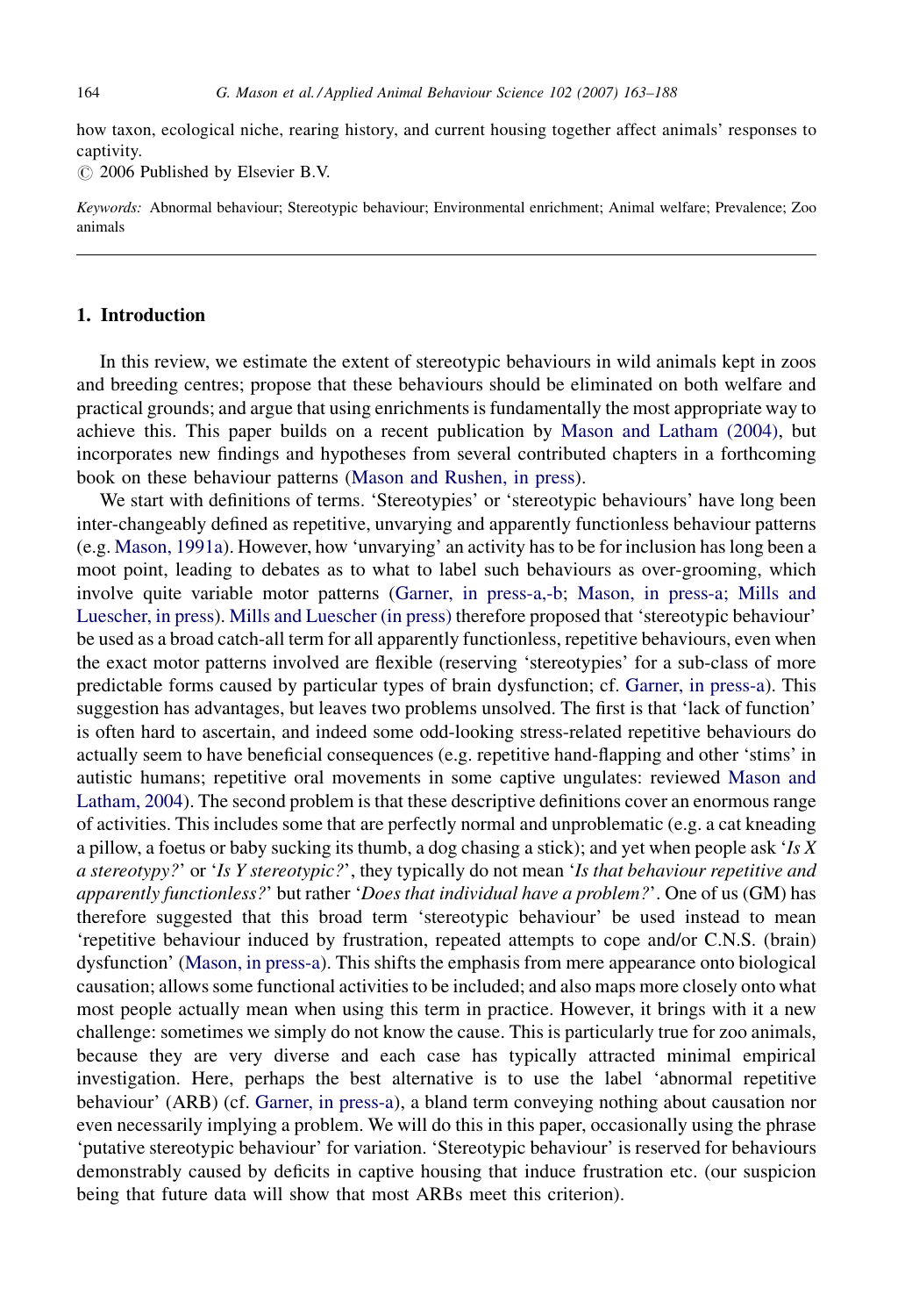<span id="page-1-0"></span>how taxon, ecological niche, rearing history, and current housing together affect animals' responses to captivity.

 $\circ$  2006 Published by Elsevier B.V.

Keywords: Abnormal behaviour; Stereotypic behaviour; Environmental enrichment; Animal welfare; Prevalence; Zoo animals

# 1. Introduction

In this review, we estimate the extent of stereotypic behaviours in wild animals kept in zoos and breeding centres; propose that these behaviours should be eliminated on both welfare and practical grounds; and argue that using enrichments is fundamentally the most appropriate way to achieve this. This paper builds on a recent publication by [Mason and Latham \(2004\),](#page-23-0) but incorporates new findings and hypotheses from several contributed chapters in a forthcoming book on these behaviour patterns ([Mason and Rushen, in press](#page-23-0)).

We start with definitions of terms. 'Stereotypies' or 'stereotypic behaviours' have long been inter-changeably defined as repetitive, unvarying and apparently functionless behaviour patterns (e.g. [Mason, 1991a](#page-23-0)). However, how 'unvarying' an activity has to be for inclusion has long been a moot point, leading to debates as to what to label such behaviours as over-grooming, which involve quite variable motor patterns [\(Garner, in press-a,-b](#page-22-0); [Mason, in press-a; Mills and](#page-23-0) [Luescher, in press\)](#page-23-0). [Mills and Luescher \(in press\)](#page-24-0) therefore proposed that 'stereotypic behaviour' be used as a broad catch-all term for all apparently functionless, repetitive behaviours, even when the exact motor patterns involved are flexible (reserving 'stereotypies' for a sub-class of more predictable forms caused by particular types of brain dysfunction; cf. [Garner, in press-a\)](#page-22-0). This suggestion has advantages, but leaves two problems unsolved. The first is that 'lack of function' is often hard to ascertain, and indeed some odd-looking stress-related repetitive behaviours do actually seem to have beneficial consequences (e.g. repetitive hand-flapping and other 'stims' in autistic humans; repetitive oral movements in some captive ungulates: reviewed [Mason and](#page-23-0) [Latham, 2004\)](#page-23-0). The second problem is that these descriptive definitions cover an enormous range of activities. This includes some that are perfectly normal and unproblematic (e.g. a cat kneading a pillow, a foetus or baby sucking its thumb, a dog chasing a stick); and yet when people ask 'Is X a stereotypy?' or 'Is Y stereotypic?', they typically do not mean 'Is that behaviour repetitive and apparently functionless?' but rather 'Does that individual have a problem?'. One of us (GM) has therefore suggested that this broad term 'stereotypic behaviour' be used instead to mean 'repetitive behaviour induced by frustration, repeated attempts to cope and/or C.N.S. (brain) dysfunction' ([Mason, in press-a\)](#page-23-0). This shifts the emphasis from mere appearance onto biological causation; allows some functional activities to be included; and also maps more closely onto what most people actually mean when using this term in practice. However, it brings with it a new challenge: sometimes we simply do not know the cause. This is particularly true for zoo animals, because they are very diverse and each case has typically attracted minimal empirical investigation. Here, perhaps the best alternative is to use the label 'abnormal repetitive behaviour' (ARB) (cf. [Garner, in press-a\)](#page-22-0), a bland term conveying nothing about causation nor even necessarily implying a problem. We will do this in this paper, occasionally using the phrase 'putative stereotypic behaviour' for variation. 'Stereotypic behaviour' is reserved for behaviours demonstrably caused by deficits in captive housing that induce frustration etc. (our suspicion being that future data will show that most ARBs meet this criterion).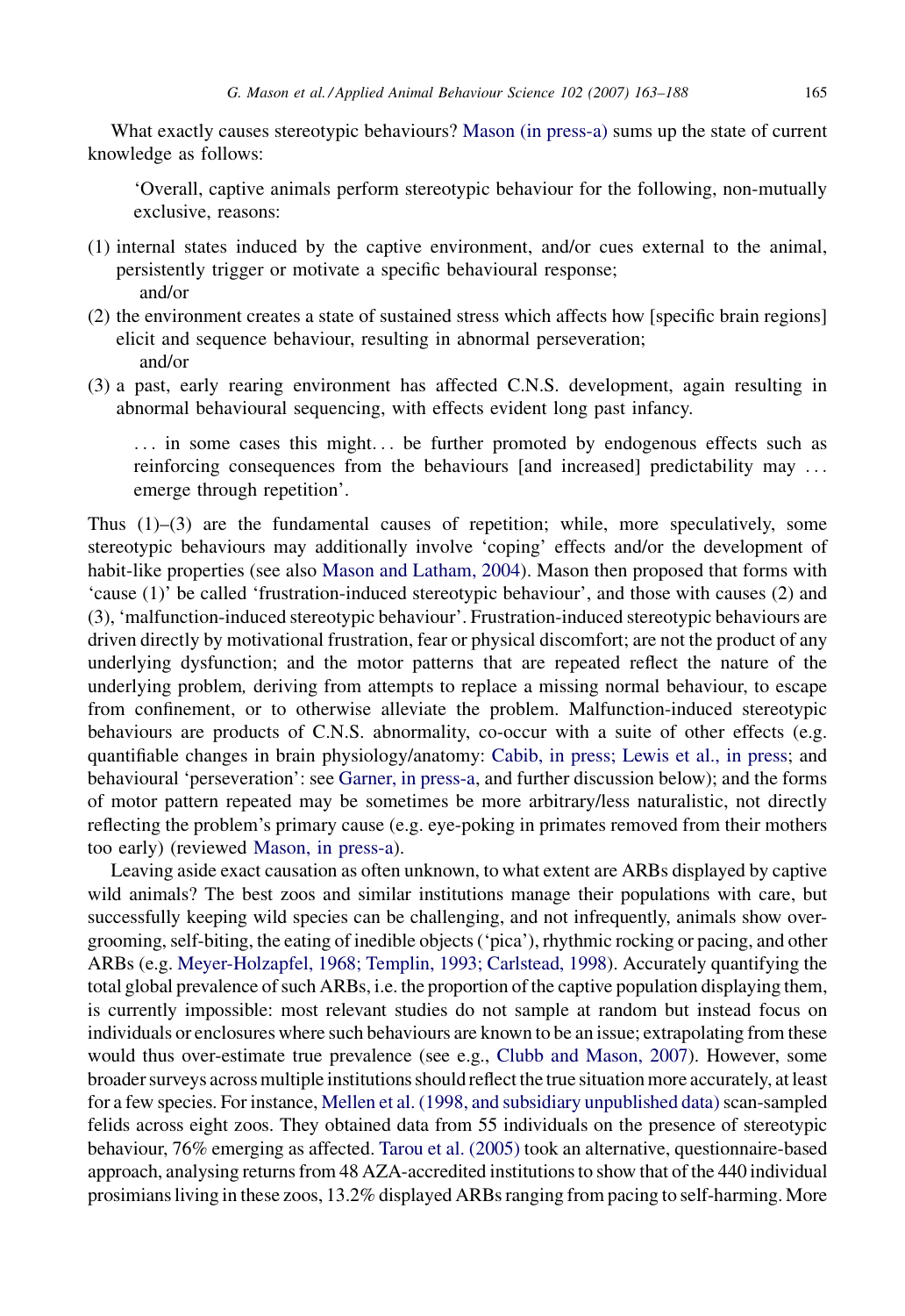What exactly causes stereotypic behaviours? [Mason \(in press-a\)](#page-23-0) sums up the state of current knowledge as follows:

'Overall, captive animals perform stereotypic behaviour for the following, non-mutually exclusive, reasons:

- (1) internal states induced by the captive environment, and/or cues external to the animal, persistently trigger or motivate a specific behavioural response; and/or
- (2) the environment creates a state of sustained stress which affects how [specific brain regions] elicit and sequence behaviour, resulting in abnormal perseveration; and/or
- (3) a past, early rearing environment has affected C.N.S. development, again resulting in abnormal behavioural sequencing, with effects evident long past infancy.

... in some cases this might... be further promoted by endogenous effects such as reinforcing consequences from the behaviours [and increased] predictability may ... emerge through repetition'.

Thus  $(1)$ – $(3)$  are the fundamental causes of repetition; while, more speculatively, some stereotypic behaviours may additionally involve 'coping' effects and/or the development of habit-like properties (see also [Mason and Latham, 2004](#page-23-0)). Mason then proposed that forms with 'cause (1)' be called 'frustration-induced stereotypic behaviour', and those with causes (2) and (3), 'malfunction-induced stereotypic behaviour'. Frustration-induced stereotypic behaviours are driven directly by motivational frustration, fear or physical discomfort; are not the product of any underlying dysfunction; and the motor patterns that are repeated reflect the nature of the underlying problem, deriving from attempts to replace a missing normal behaviour, to escape from confinement, or to otherwise alleviate the problem. Malfunction-induced stereotypic behaviours are products of C.N.S. abnormality, co-occur with a suite of other effects (e.g. quantifiable changes in brain physiology/anatomy: [Cabib, in press; Lewis et al., in press](#page-21-0); and behavioural 'perseveration': see [Garner, in press-a,](#page-22-0) and further discussion below); and the forms of motor pattern repeated may be sometimes be more arbitrary/less naturalistic, not directly reflecting the problem's primary cause (e.g. eye-poking in primates removed from their mothers too early) (reviewed [Mason, in press-a](#page-23-0)).

Leaving aside exact causation as often unknown, to what extent are ARBs displayed by captive wild animals? The best zoos and similar institutions manage their populations with care, but successfully keeping wild species can be challenging, and not infrequently, animals show overgrooming, self-biting, the eating of inedible objects ('pica'), rhythmic rocking or pacing, and other ARBs (e.g. [Meyer-Holzapfel, 1968; Templin, 1993; Carlstead, 1998\)](#page-24-0). Accurately quantifying the total global prevalence of such ARBs, i.e. the proportion of the captive population displaying them, is currently impossible: most relevant studies do not sample at random but instead focus on individuals or enclosures where such behaviours are known to be an issue; extrapolating from these would thus over-estimate true prevalence (see e.g., [Clubb and Mason, 2007\)](#page-21-0). However, some broader surveys across multiple institutions should reflect the true situation more accurately, at least for a few species. For instance, [Mellen et al. \(1998, and subsidiary unpublished data\)](#page-24-0) scan-sampled felids across eight zoos. They obtained data from 55 individuals on the presence of stereotypic behaviour, 76% emerging as affected. [Tarou et al. \(2005\)](#page-25-0) took an alternative, questionnaire-based approach, analysing returns from 48 AZA-accredited institutions to show that of the 440 individual prosimians living in these zoos, 13.2% displayed ARBs ranging from pacing to self-harming. More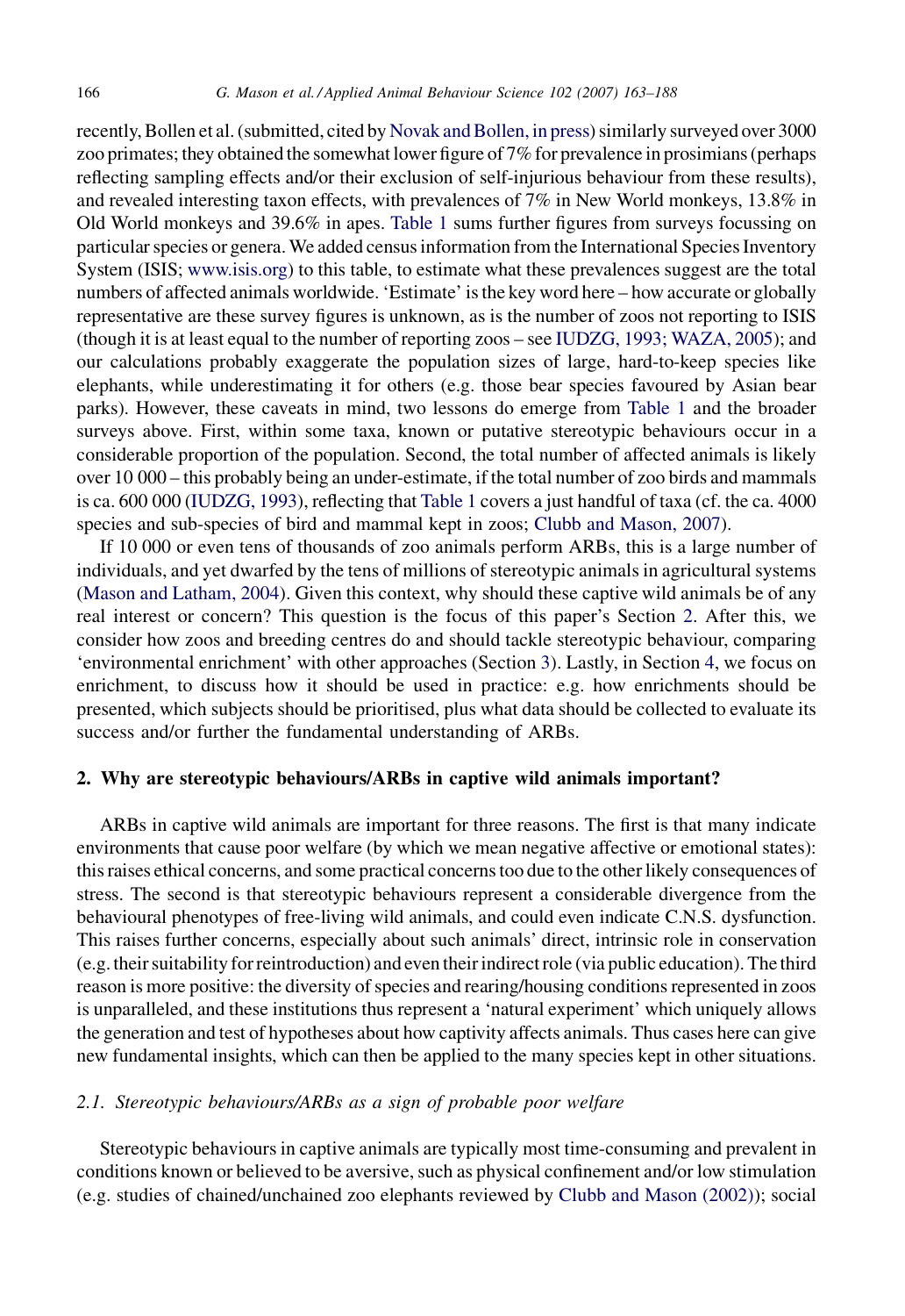<span id="page-3-0"></span>recently, Bollen et al. (submitted, cited by [Novak and Bollen, in press\)](#page-24-0) similarly surveyed over 3000 zoo primates; they obtained the somewhat lower figure of 7% for prevalence in prosimians (perhaps reflecting sampling effects and/or their exclusion of self-injurious behaviour from these results), and revealed interesting taxon effects, with prevalences of 7% in New World monkeys, 13.8% in Old World monkeys and 39.6% in apes. [Table 1](#page-4-0) sums further figures from surveys focussing on particular species or genera.We added census information from the International Species Inventory System (ISIS; [www.isis.org\)](http://www.isis.org/) to this table, to estimate what these prevalences suggest are the total numbers of affected animals worldwide. 'Estimate' is the key word here – how accurate or globally representative are these survey figures is unknown, as is the number of zoos not reporting to ISIS (though it is at least equal to the number of reporting zoos – see [IUDZG, 1993; WAZA, 2005\)](#page-22-0); and our calculations probably exaggerate the population sizes of large, hard-to-keep species like elephants, while underestimating it for others (e.g. those bear species favoured by Asian bear parks). However, these caveats in mind, two lessons do emerge from [Table 1](#page-4-0) and the broader surveys above. First, within some taxa, known or putative stereotypic behaviours occur in a considerable proportion of the population. Second, the total number of affected animals is likely over 10 000 – this probably being an under-estimate, if the total number of zoo birds and mammals is ca. 600 000 ([IUDZG, 1993\)](#page-22-0), reflecting that [Table 1](#page-4-0) covers a just handful of taxa (cf. the ca. 4000 species and sub-species of bird and mammal kept in zoos; [Clubb and Mason, 2007\)](#page-21-0).

If 10 000 or even tens of thousands of zoo animals perform ARBs, this is a large number of individuals, and yet dwarfed by the tens of millions of stereotypic animals in agricultural systems [\(Mason and Latham, 2004\)](#page-23-0). Given this context, why should these captive wild animals be of any real interest or concern? This question is the focus of this paper's Section 2. After this, we consider how zoos and breeding centres do and should tackle stereotypic behaviour, comparing 'environmental enrichment' with other approaches (Section [3\)](#page-11-0). Lastly, in Section [4,](#page-14-0) we focus on enrichment, to discuss how it should be used in practice: e.g. how enrichments should be presented, which subjects should be prioritised, plus what data should be collected to evaluate its success and/or further the fundamental understanding of ARBs.

## 2. Why are stereotypic behaviours/ARBs in captive wild animals important?

ARBs in captive wild animals are important for three reasons. The first is that many indicate environments that cause poor welfare (by which we mean negative affective or emotional states): this raises ethical concerns, and some practical concerns too due to the other likely consequences of stress. The second is that stereotypic behaviours represent a considerable divergence from the behavioural phenotypes of free-living wild animals, and could even indicate C.N.S. dysfunction. This raises further concerns, especially about such animals' direct, intrinsic role in conservation (e.g. their suitability for reintroduction) and even their indirect role (via public education). The third reason is more positive: the diversity of species and rearing/housing conditions represented in zoos is unparalleled, and these institutions thus represent a 'natural experiment' which uniquely allows the generation and test of hypotheses about how captivity affects animals. Thus cases here can give new fundamental insights, which can then be applied to the many species kept in other situations.

# 2.1. Stereotypic behaviours/ARBs as a sign of probable poor welfare

Stereotypic behaviours in captive animals are typically most time-consuming and prevalent in conditions known or believed to be aversive, such as physical confinement and/or low stimulation (e.g. studies of chained/unchained zoo elephants reviewed by [Clubb and Mason \(2002\)\)](#page-21-0); social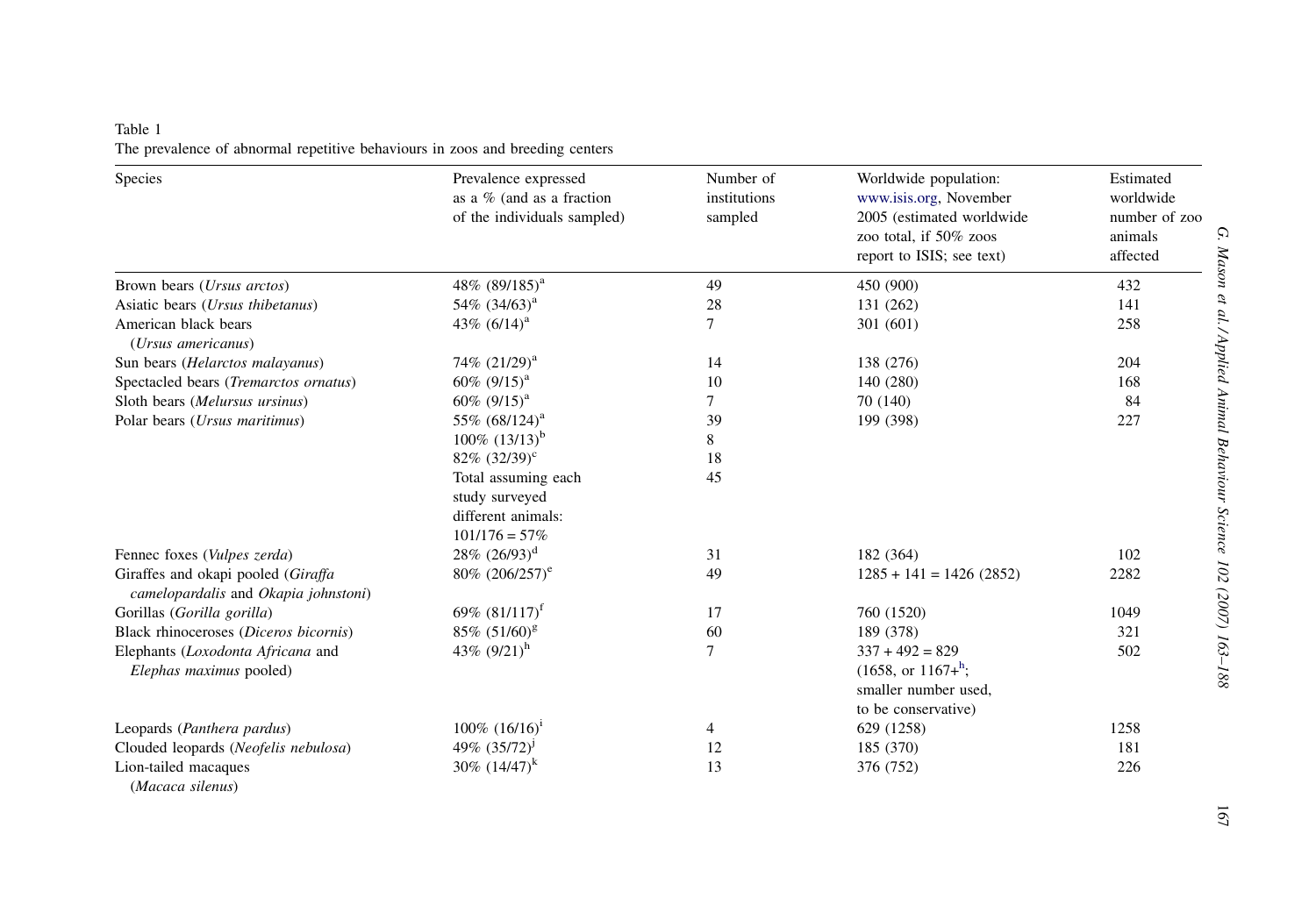<span id="page-4-0"></span>Table 1 The prevalence of abnormal repetitive behaviours in zoos and breeding centers

| Species                                                                    | Prevalence expressed<br>as a $\%$ (and as a fraction<br>of the individuals sampled) | Number of<br>institutions<br>sampled | Worldwide population:<br>www.isis.org, November<br>2005 (estimated worldwide<br>zoo total, if 50% zoos<br>report to ISIS; see text) | Estimated<br>worldwide<br>number of zoo<br>animals<br>affected |
|----------------------------------------------------------------------------|-------------------------------------------------------------------------------------|--------------------------------------|-------------------------------------------------------------------------------------------------------------------------------------|----------------------------------------------------------------|
| Brown bears ( <i>Ursus arctos</i> )                                        | 48\% $(89/185)^a$                                                                   | 49                                   | 450 (900)                                                                                                                           | 432                                                            |
| Asiatic bears (Ursus thibetanus)                                           | 54% $(34/63)^a$                                                                     | 28                                   | 131 (262)                                                                                                                           | 141                                                            |
| American black bears                                                       | 43\% $(6/14)^a$                                                                     | 7                                    | 301 (601)                                                                                                                           | 258                                                            |
| (Ursus americanus)                                                         |                                                                                     |                                      |                                                                                                                                     |                                                                |
| Sun bears (Helarctos malayanus)                                            | 74% (21/29) <sup>a</sup>                                                            | 14                                   | 138 (276)                                                                                                                           | 204                                                            |
| Spectacled bears (Tremarctos ornatus)                                      | $60\%$ $(9/15)^{a}$                                                                 | 10                                   | 140 (280)                                                                                                                           | 168                                                            |
| Sloth bears (Melursus ursinus)                                             | $60\%$ $(9/15)^{a}$                                                                 | 7                                    | 70 (140)                                                                                                                            | 84                                                             |
| Polar bears (Ursus maritimus)                                              | 55% (68/124) <sup>a</sup>                                                           | 39                                   | 199 (398)                                                                                                                           | 227                                                            |
|                                                                            | $100\%$ $(13/13)^{b}$                                                               | 8                                    |                                                                                                                                     |                                                                |
|                                                                            | 82\% $(32/39)^c$                                                                    | 18                                   |                                                                                                                                     |                                                                |
|                                                                            | Total assuming each<br>study surveyed<br>different animals:<br>$101/176 = 57\%$     | 45                                   |                                                                                                                                     |                                                                |
| Fennec foxes (Vulpes zerda)                                                | $28\%$ $(26/93)^d$                                                                  | 31                                   | 182 (364)                                                                                                                           | 102                                                            |
| Giraffes and okapi pooled (Giraffa<br>camelopardalis and Okapia johnstoni) | $80\%$ (206/257) <sup>e</sup>                                                       | 49                                   | $1285 + 141 = 1426 (2852)$                                                                                                          | 2282                                                           |
| Gorillas (Gorilla gorilla)                                                 | 69% $(81/117)^{f}$                                                                  | 17                                   | 760 (1520)                                                                                                                          | 1049                                                           |
| Black rhinoceroses (Diceros bicornis)                                      | $85\%$ $(51/60)^{g}$                                                                | 60                                   | 189 (378)                                                                                                                           | 321                                                            |
| Elephants (Loxodonta Africana and<br>Elephas maximus pooled)               | 43\% $(9/21)^h$                                                                     | 7                                    | $337 + 492 = 829$<br>$(1658, \text{ or } 1167 + ^h)$ ;<br>smaller number used,<br>to be conservative)                               | 502                                                            |
| Leopards (Panthera pardus)                                                 | $100\%$ $(16/16)^{i}$                                                               | 4                                    | 629 (1258)                                                                                                                          | 1258                                                           |
| Clouded leopards (Neofelis nebulosa)                                       | 49% (35/72) <sup>j</sup>                                                            | 12                                   | 185 (370)                                                                                                                           | 181                                                            |
| Lion-tailed macaques<br>(Macaca silenus)                                   | 30\% $(14/47)^{k}$                                                                  | 13                                   | 376 (752)                                                                                                                           | 226                                                            |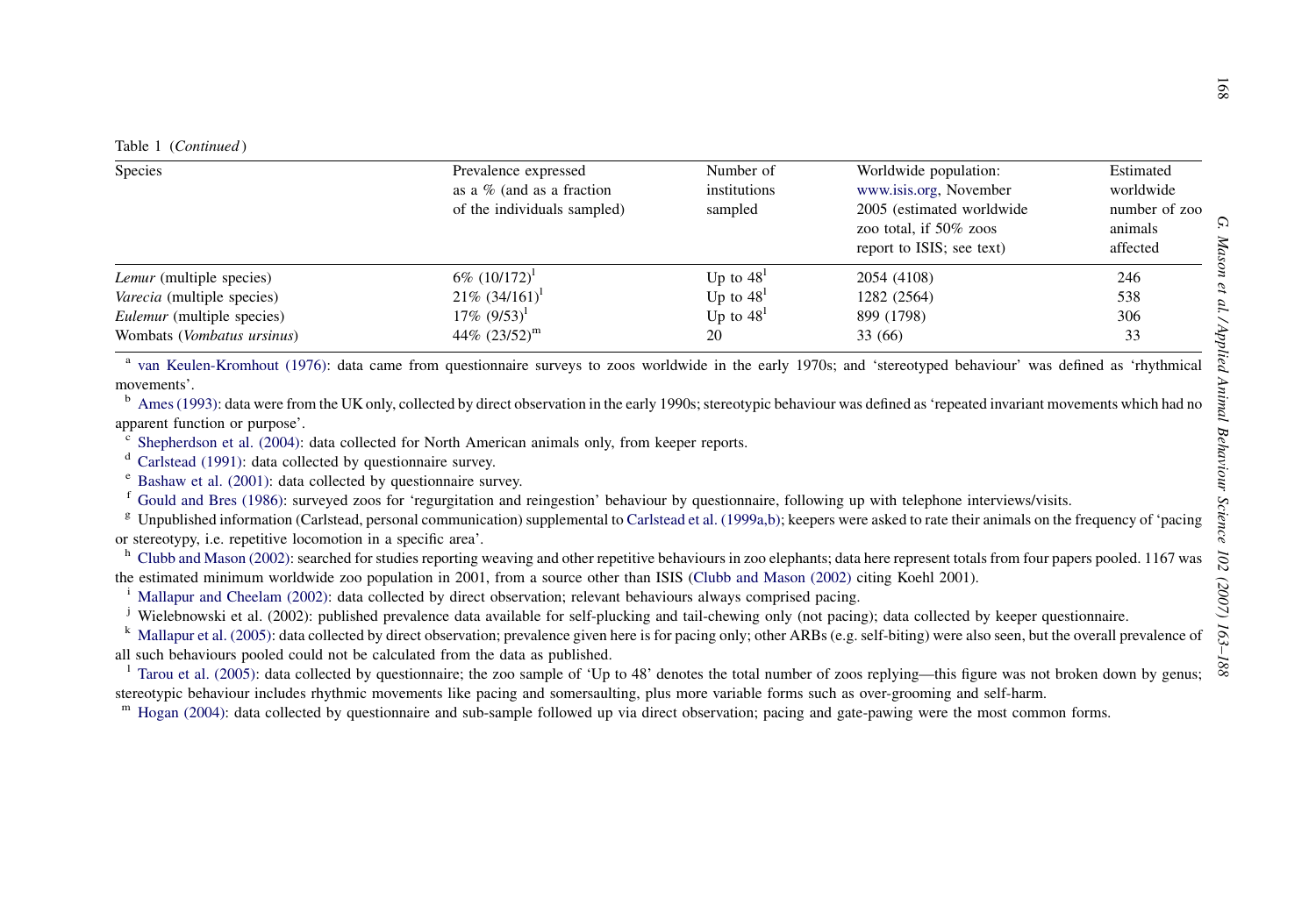<span id="page-5-0"></span>

| Species                                                                                                                                              | Prevalence expressed<br>as a % (and as a fraction<br>of the individuals sampled)                                                                                                          | Number of<br>institutions<br>sampled | Worldwide population:<br>www.isis.org, November<br>2005 (estimated worldwide<br>zoo total, if 50% zoos<br>report to ISIS; see text) | Estimated<br>worldwide<br>number of zoo<br>animals<br>affected |
|------------------------------------------------------------------------------------------------------------------------------------------------------|-------------------------------------------------------------------------------------------------------------------------------------------------------------------------------------------|--------------------------------------|-------------------------------------------------------------------------------------------------------------------------------------|----------------------------------------------------------------|
| <i>Lemur</i> (multiple species)                                                                                                                      | $6\%$ $(10/172)^{1}$                                                                                                                                                                      | Up to $481$                          | 2054 (4108)                                                                                                                         | 246                                                            |
| Varecia (multiple species)                                                                                                                           | $21\%$ $(34/161)^1$                                                                                                                                                                       | Up to $481$                          | 1282 (2564)                                                                                                                         | 538                                                            |
| Eulemur (multiple species)                                                                                                                           | $17\%$ $(9/53)^{1}$                                                                                                                                                                       | Up to $481$                          | 899 (1798)                                                                                                                          | 306                                                            |
| Wombats (Vombatus ursinus)                                                                                                                           | 44% $(23/52)^m$                                                                                                                                                                           | 20                                   | 33 (66)                                                                                                                             | 33                                                             |
|                                                                                                                                                      |                                                                                                                                                                                           |                                      |                                                                                                                                     |                                                                |
| <sup>d</sup> Carlstead (1991): data collected by questionnaire survey.<br><sup>e</sup> Bashaw et al. (2001): data collected by questionnaire survey. | Shepherdson et al. (2004): data collected for North American animals only, from keeper reports.                                                                                           |                                      |                                                                                                                                     |                                                                |
|                                                                                                                                                      | Gould and Bres (1986): surveyed zoos for 'regurgitation and reingestion' behaviour by questionnaire, following up with telephone interviews/visits.                                       |                                      |                                                                                                                                     |                                                                |
|                                                                                                                                                      | <sup>g</sup> Unpublished information (Carlstead, personal communication) supplemental to Carlstead et al. (1999a,b); keepers were asked to rate their animals on the frequency of 'pacing |                                      |                                                                                                                                     |                                                                |
|                                                                                                                                                      |                                                                                                                                                                                           |                                      |                                                                                                                                     |                                                                |
|                                                                                                                                                      | Clubb and Mason (2002): searched for studies reporting weaving and other repetitive behaviours in zoo elephants; data here represent totals from four papers pooled. 1167 was             |                                      |                                                                                                                                     |                                                                |
|                                                                                                                                                      | the estimated minimum worldwide zoo population in 2001, from a source other than ISIS (Clubb and Mason (2002) citing Koehl 2001).                                                         |                                      |                                                                                                                                     |                                                                |
|                                                                                                                                                      | Mallapur and Cheelam (2002): data collected by direct observation; relevant behaviours always comprised pacing.                                                                           |                                      |                                                                                                                                     |                                                                |
| apparent function or purpose'.<br>or stereotypy, i.e. repetitive locomotion in a specific area'.                                                     | Wielebnowski et al. (2002): published prevalence data available for self-plucking and tail-chewing only (not pacing); data collected by keeper questionnaire.                             |                                      |                                                                                                                                     |                                                                |
| all such behaviours pooled could not be calculated from the data as published.                                                                       | k Mallapur et al. (2005): data collected by direct observation; prevalence given here is for pacing only; other ARBs (e.g. self-biting) were also seen, but the overall prevalence of     |                                      |                                                                                                                                     |                                                                |

stereotypic behaviour includes rhythmic movements like pacing and somersaulting, plus more variable forms such as over-grooming and self-harm.

[Hogan](#page-22-0) (2004): data collected by questionnaire and sub-sample followed up via direct observation; pacing and gate-pawing were the most common forms.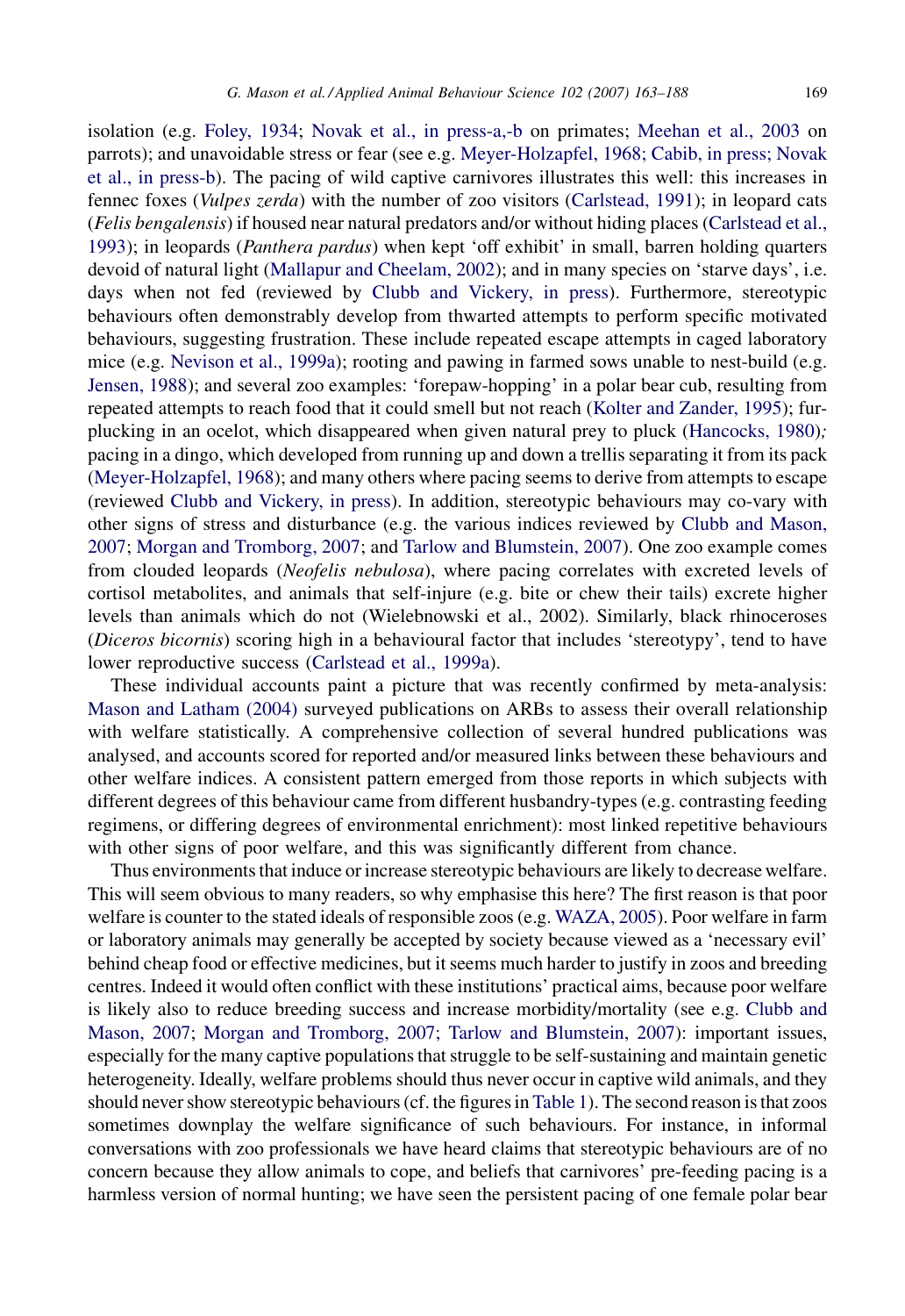isolation (e.g. [Foley, 1934](#page-22-0); [Novak et al., in press-a,-b](#page-24-0) on primates; [Meehan et al., 2003](#page-23-0) on parrots); and unavoidable stress or fear (see e.g. [Meyer-Holzapfel, 1968; Cabib, in press; Novak](#page-24-0) [et al., in press-b](#page-24-0)). The pacing of wild captive carnivores illustrates this well: this increases in fennec foxes (Vulpes zerda) with the number of zoo visitors ([Carlstead, 1991](#page-21-0)); in leopard cats (Felis bengalensis) if housed near natural predators and/or without hiding places ([Carlstead et al.,](#page-21-0) [1993](#page-21-0)); in leopards (*Panthera pardus*) when kept 'off exhibit' in small, barren holding quarters devoid of natural light ([Mallapur and Cheelam, 2002](#page-23-0)); and in many species on 'starve days', i.e. days when not fed (reviewed by [Clubb and Vickery, in press\)](#page-21-0). Furthermore, stereotypic behaviours often demonstrably develop from thwarted attempts to perform specific motivated behaviours, suggesting frustration. These include repeated escape attempts in caged laboratory mice (e.g. [Nevison et al., 1999a](#page-24-0)); rooting and pawing in farmed sows unable to nest-build (e.g. [Jensen, 1988\)](#page-22-0); and several zoo examples: 'forepaw-hopping' in a polar bear cub, resulting from repeated attempts to reach food that it could smell but not reach ([Kolter and Zander, 1995](#page-23-0)); furplucking in an ocelot, which disappeared when given natural prey to pluck [\(Hancocks, 1980](#page-22-0)); pacing in a dingo, which developed from running up and down a trellis separating it from its pack ([Meyer-Holzapfel, 1968\)](#page-24-0); and many others where pacing seems to derive from attempts to escape (reviewed [Clubb and Vickery, in press](#page-21-0)). In addition, stereotypic behaviours may co-vary with other signs of stress and disturbance (e.g. the various indices reviewed by [Clubb and Mason,](#page-21-0) [2007](#page-21-0); [Morgan and Tromborg, 2007](#page-24-0); and [Tarlow and Blumstein, 2007\)](#page-25-0). One zoo example comes from clouded leopards (Neofelis nebulosa), where pacing correlates with excreted levels of cortisol metabolites, and animals that self-injure (e.g. bite or chew their tails) excrete higher levels than animals which do not (Wielebnowski et al., 2002). Similarly, black rhinoceroses (Diceros bicornis) scoring high in a behavioural factor that includes 'stereotypy', tend to have lower reproductive success [\(Carlstead et al., 1999a](#page-21-0)).

These individual accounts paint a picture that was recently confirmed by meta-analysis: [Mason and Latham \(2004\)](#page-23-0) surveyed publications on ARBs to assess their overall relationship with welfare statistically. A comprehensive collection of several hundred publications was analysed, and accounts scored for reported and/or measured links between these behaviours and other welfare indices. A consistent pattern emerged from those reports in which subjects with different degrees of this behaviour came from different husbandry-types (e.g. contrasting feeding regimens, or differing degrees of environmental enrichment): most linked repetitive behaviours with other signs of poor welfare, and this was significantly different from chance.

Thus environments that induce or increase stereotypic behaviours are likely to decrease welfare. This will seem obvious to many readers, so why emphasise this here? The first reason is that poor welfare is counter to the stated ideals of responsible zoos (e.g. [WAZA, 2005\)](#page-25-0). Poor welfare in farm or laboratory animals may generally be accepted by society because viewed as a 'necessary evil' behind cheap food or effective medicines, but it seems much harder to justify in zoos and breeding centres. Indeed it would often conflict with these institutions' practical aims, because poor welfare is likely also to reduce breeding success and increase morbidity/mortality (see e.g. [Clubb and](#page-21-0) [Mason, 2007;](#page-21-0) [Morgan and Tromborg, 2007; Tarlow and Blumstein, 2007](#page-24-0)): important issues, especially for the many captive populations that struggle to be self-sustaining and maintain genetic heterogeneity. Ideally, welfare problems should thus never occur in captive wild animals, and they should never show stereotypic behaviours (cf. the figures in [Table 1\)](#page-4-0). The second reason is that zoos sometimes downplay the welfare significance of such behaviours. For instance, in informal conversations with zoo professionals we have heard claims that stereotypic behaviours are of no concern because they allow animals to cope, and beliefs that carnivores' pre-feeding pacing is a harmless version of normal hunting; we have seen the persistent pacing of one female polar bear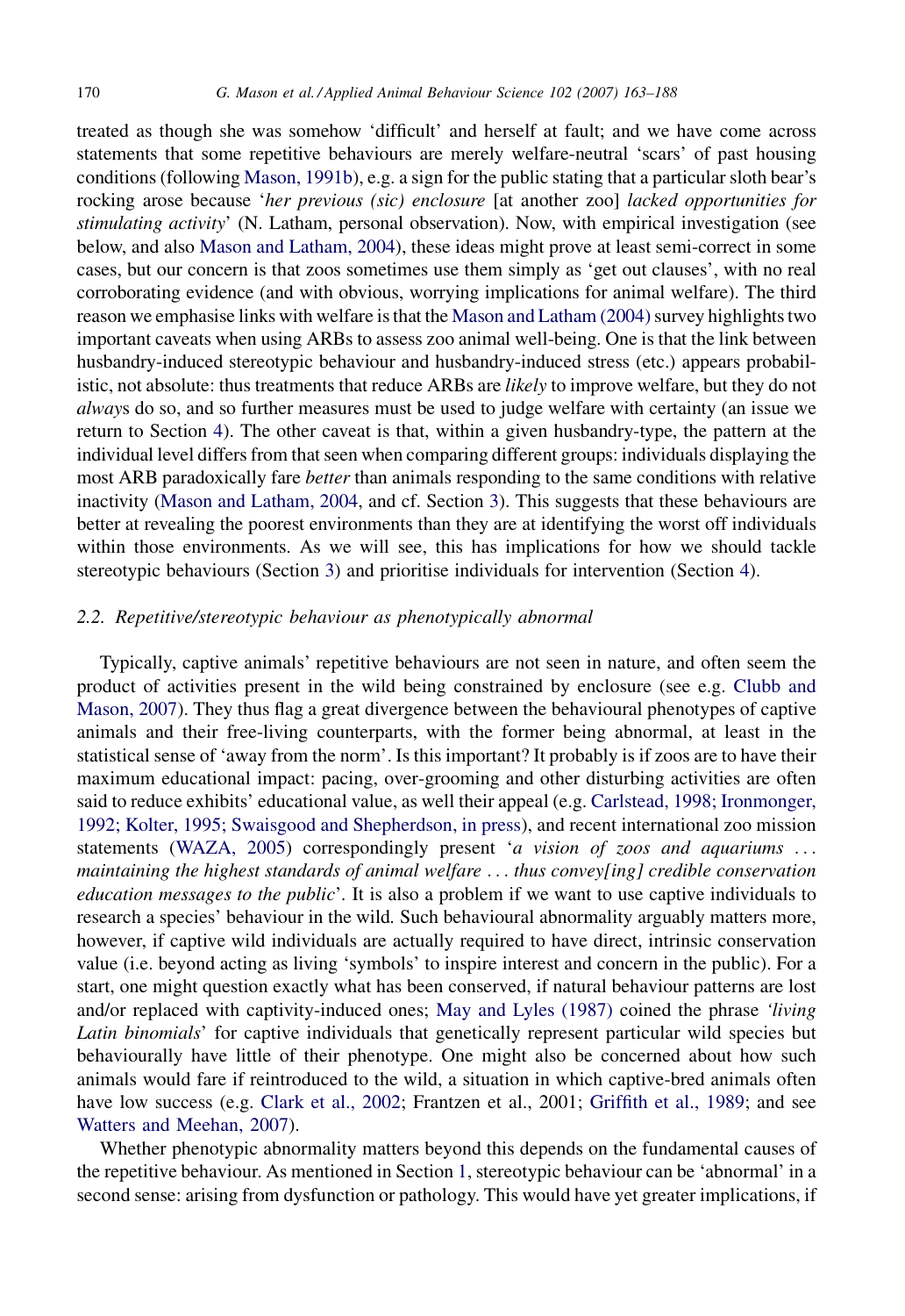treated as though she was somehow 'difficult' and herself at fault; and we have come across statements that some repetitive behaviours are merely welfare-neutral 'scars' of past housing conditions (following [Mason, 1991b](#page-23-0)), e.g. a sign for the public stating that a particular sloth bear's rocking arose because 'her previous (sic) enclosure [at another zoo] lacked opportunities for stimulating activity' (N. Latham, personal observation). Now, with empirical investigation (see below, and also [Mason and Latham, 2004](#page-23-0)), these ideas might prove at least semi-correct in some cases, but our concern is that zoos sometimes use them simply as 'get out clauses', with no real corroborating evidence (and with obvious, worrying implications for animal welfare). The third reason we emphasise links with welfare is that the [Mason and Latham \(2004\)](#page-23-0) survey highlights two important caveats when using ARBs to assess zoo animal well-being. One is that the link between husbandry-induced stereotypic behaviour and husbandry-induced stress (etc.) appears probabilistic, not absolute: thus treatments that reduce ARBs are *likely* to improve welfare, but they do not always do so, and so further measures must be used to judge welfare with certainty (an issue we return to Section [4](#page-14-0)). The other caveat is that, within a given husbandry-type, the pattern at the individual level differs from that seen when comparing different groups: individuals displaying the most ARB paradoxically fare *better* than animals responding to the same conditions with relative inactivity [\(Mason and Latham, 2004](#page-23-0), and cf. Section [3](#page-11-0)). This suggests that these behaviours are better at revealing the poorest environments than they are at identifying the worst off individuals within those environments. As we will see, this has implications for how we should tackle stereotypic behaviours (Section [3\)](#page-11-0) and prioritise individuals for intervention (Section [4\)](#page-14-0).

## 2.2. Repetitive/stereotypic behaviour as phenotypically abnormal

Typically, captive animals' repetitive behaviours are not seen in nature, and often seem the product of activities present in the wild being constrained by enclosure (see e.g. [Clubb and](#page-21-0) [Mason, 2007\)](#page-21-0). They thus flag a great divergence between the behavioural phenotypes of captive animals and their free-living counterparts, with the former being abnormal, at least in the statistical sense of 'away from the norm'. Is this important? It probably is if zoos are to have their maximum educational impact: pacing, over-grooming and other disturbing activities are often said to reduce exhibits' educational value, as well their appeal (e.g. [Carlstead, 1998; Ironmonger,](#page-21-0) [1992; Kolter, 1995; Swaisgood and Shepherdson, in press\)](#page-21-0), and recent international zoo mission statements ([WAZA, 2005\)](#page-25-0) correspondingly present 'a vision of zoos and aquariums ... maintaining the highest standards of animal welfare ... thus convey[ing] credible conservation education messages to the public'. It is also a problem if we want to use captive individuals to research a species' behaviour in the wild. Such behavioural abnormality arguably matters more, however, if captive wild individuals are actually required to have direct, intrinsic conservation value (i.e. beyond acting as living 'symbols' to inspire interest and concern in the public). For a start, one might question exactly what has been conserved, if natural behaviour patterns are lost and/or replaced with captivity-induced ones; [May and Lyles \(1987\)](#page-23-0) coined the phrase 'living Latin binomials' for captive individuals that genetically represent particular wild species but behaviourally have little of their phenotype. One might also be concerned about how such animals would fare if reintroduced to the wild, a situation in which captive-bred animals often have low success (e.g. [Clark et al., 2002](#page-21-0); Frantzen et al., 2001; [Griffith et al., 1989](#page-22-0); and see [Watters and Meehan, 2007](#page-25-0)).

Whether phenotypic abnormality matters beyond this depends on the fundamental causes of the repetitive behaviour. As mentioned in Section [1,](#page-1-0) stereotypic behaviour can be 'abnormal' in a second sense: arising from dysfunction or pathology. This would have yet greater implications, if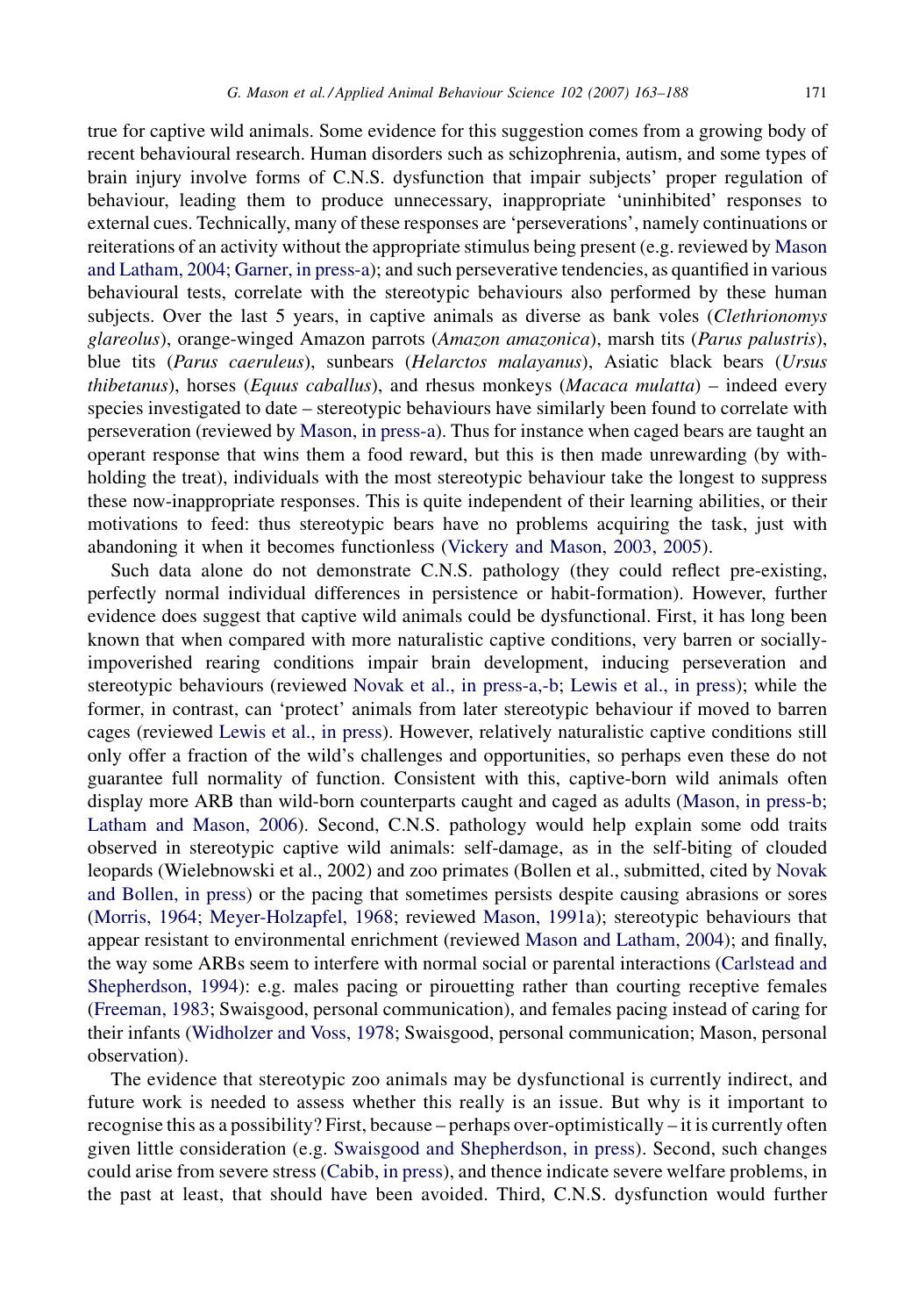true for captive wild animals. Some evidence for this suggestion comes from a growing body of recent behavioural research. Human disorders such as schizophrenia, autism, and some types of brain injury involve forms of C.N.S. dysfunction that impair subjects' proper regulation of behaviour, leading them to produce unnecessary, inappropriate 'uninhibited' responses to external cues. Technically, many of these responses are 'perseverations', namely continuations or reiterations of an activity without the appropriate stimulus being present (e.g. reviewed by [Mason](#page-23-0) [and Latham, 2004; Garner, in press-a](#page-23-0)); and such perseverative tendencies, as quantified in various behavioural tests, correlate with the stereotypic behaviours also performed by these human subjects. Over the last 5 years, in captive animals as diverse as bank voles (*Clethrionomys* glareolus), orange-winged Amazon parrots (Amazon amazonica), marsh tits (Parus palustris), blue tits (Parus caeruleus), sunbears (Helarctos malayanus), Asiatic black bears (Ursus  $thibetanus$ ), horses (Equus caballus), and rhesus monkeys (Macaca mulatta) – indeed every species investigated to date – stereotypic behaviours have similarly been found to correlate with perseveration (reviewed by [Mason, in press-a](#page-23-0)). Thus for instance when caged bears are taught an operant response that wins them a food reward, but this is then made unrewarding (by withholding the treat), individuals with the most stereotypic behaviour take the longest to suppress these now-inappropriate responses. This is quite independent of their learning abilities, or their motivations to feed: thus stereotypic bears have no problems acquiring the task, just with abandoning it when it becomes functionless ([Vickery and Mason, 2003, 2005](#page-25-0)).

Such data alone do not demonstrate C.N.S. pathology (they could reflect pre-existing, perfectly normal individual differences in persistence or habit-formation). However, further evidence does suggest that captive wild animals could be dysfunctional. First, it has long been known that when compared with more naturalistic captive conditions, very barren or sociallyimpoverished rearing conditions impair brain development, inducing perseveration and stereotypic behaviours (reviewed [Novak et al., in press-a,-b;](#page-24-0) [Lewis et al., in press\)](#page-23-0); while the former, in contrast, can 'protect' animals from later stereotypic behaviour if moved to barren cages (reviewed [Lewis et al., in press\)](#page-23-0). However, relatively naturalistic captive conditions still only offer a fraction of the wild's challenges and opportunities, so perhaps even these do not guarantee full normality of function. Consistent with this, captive-born wild animals often display more ARB than wild-born counterparts caught and caged as adults [\(Mason, in press-b;](#page-23-0) [Latham and Mason, 2006\)](#page-23-0). Second, C.N.S. pathology would help explain some odd traits observed in stereotypic captive wild animals: self-damage, as in the self-biting of clouded leopards (Wielebnowski et al., 2002) and zoo primates (Bollen et al., submitted, cited by [Novak](#page-24-0) [and Bollen, in press](#page-24-0)) or the pacing that sometimes persists despite causing abrasions or sores ([Morris, 1964; Meyer-Holzapfel, 1968](#page-24-0); reviewed [Mason, 1991a\)](#page-23-0); stereotypic behaviours that appear resistant to environmental enrichment (reviewed [Mason and Latham, 2004\)](#page-23-0); and finally, the way some ARBs seem to interfere with normal social or parental interactions [\(Carlstead and](#page-21-0) [Shepherdson, 1994](#page-21-0)): e.g. males pacing or pirouetting rather than courting receptive females ([Freeman, 1983](#page-22-0); Swaisgood, personal communication), and females pacing instead of caring for their infants [\(Widholzer and Voss, 1978](#page-25-0); Swaisgood, personal communication; Mason, personal observation).

The evidence that stereotypic zoo animals may be dysfunctional is currently indirect, and future work is needed to assess whether this really is an issue. But why is it important to recognise this as a possibility? First, because – perhaps over-optimistically – it is currently often given little consideration (e.g. [Swaisgood and Shepherdson, in press\)](#page-25-0). Second, such changes could arise from severe stress [\(Cabib, in press](#page-21-0)), and thence indicate severe welfare problems, in the past at least, that should have been avoided. Third, C.N.S. dysfunction would further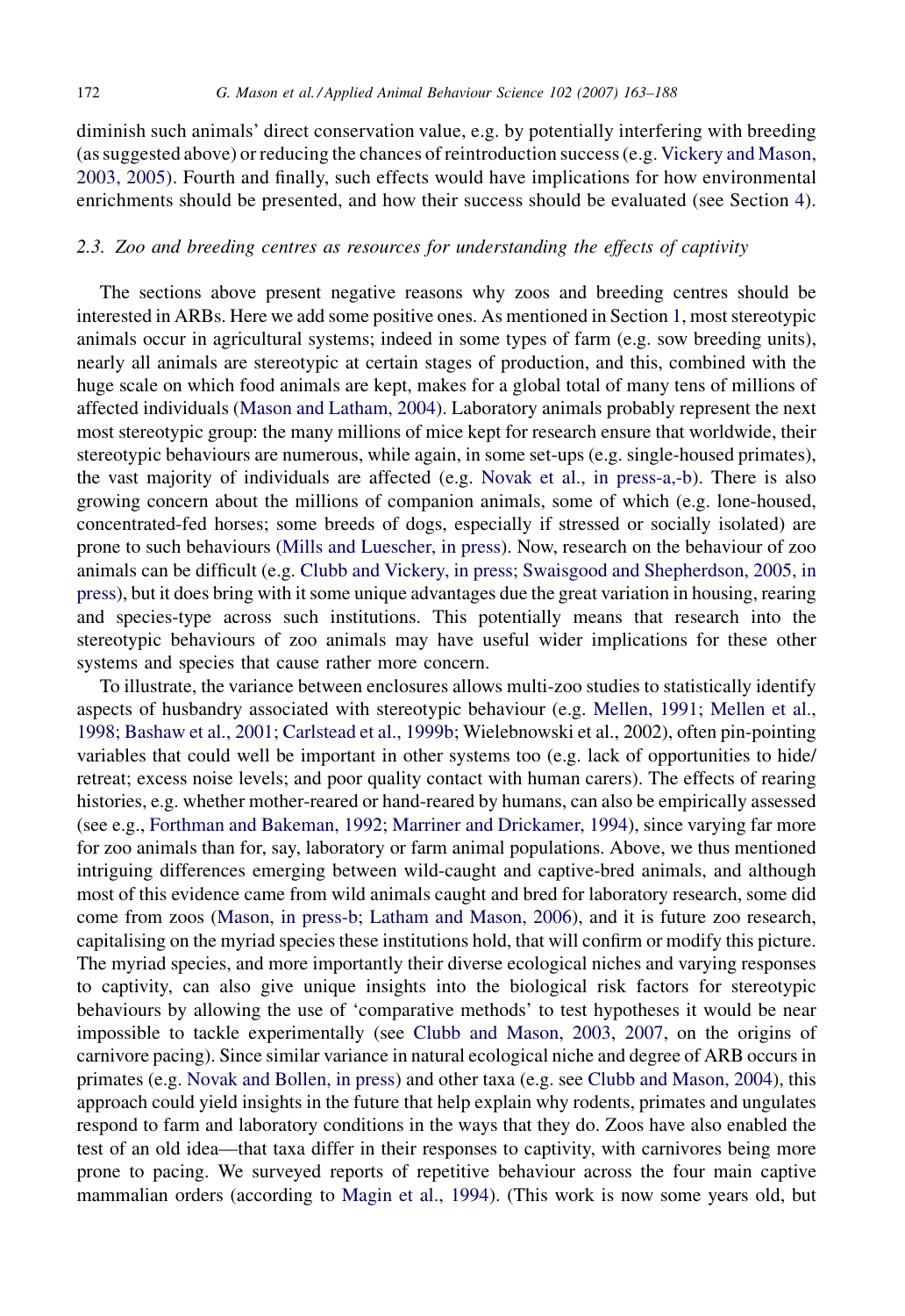diminish such animals' direct conservation value, e.g. by potentially interfering with breeding (as suggested above) or reducing the chances of reintroduction success (e.g. [Vickery and Mason,](#page-25-0) [2003, 2005\)](#page-25-0). Fourth and finally, such effects would have implications for how environmental enrichments should be presented, and how their success should be evaluated (see Section [4](#page-14-0)).

# 2.3. Zoo and breeding centres as resources for understanding the effects of captivity

The sections above present negative reasons why zoos and breeding centres should be interested in ARBs. Here we add some positive ones. As mentioned in Section [1,](#page-1-0) most stereotypic animals occur in agricultural systems; indeed in some types of farm (e.g. sow breeding units), nearly all animals are stereotypic at certain stages of production, and this, combined with the huge scale on which food animals are kept, makes for a global total of many tens of millions of affected individuals ([Mason and Latham, 2004](#page-23-0)). Laboratory animals probably represent the next most stereotypic group: the many millions of mice kept for research ensure that worldwide, their stereotypic behaviours are numerous, while again, in some set-ups (e.g. single-housed primates), the vast majority of individuals are affected (e.g. [Novak et al., in press-a,-b](#page-24-0)). There is also growing concern about the millions of companion animals, some of which (e.g. lone-housed, concentrated-fed horses; some breeds of dogs, especially if stressed or socially isolated) are prone to such behaviours ([Mills and Luescher, in press](#page-24-0)). Now, research on the behaviour of zoo animals can be difficult (e.g. [Clubb and Vickery, in press; Swaisgood and Shepherdson, 2005, in](#page-21-0) [press](#page-21-0)), but it does bring with it some unique advantages due the great variation in housing, rearing and species-type across such institutions. This potentially means that research into the stereotypic behaviours of zoo animals may have useful wider implications for these other systems and species that cause rather more concern.

To illustrate, the variance between enclosures allows multi-zoo studies to statistically identify aspects of husbandry associated with stereotypic behaviour (e.g. [Mellen, 1991; Mellen et al.,](#page-23-0) [1998; Bashaw et al., 2001; Carlstead et al., 1999b;](#page-23-0) Wielebnowski et al., 2002), often pin-pointing variables that could well be important in other systems too (e.g. lack of opportunities to hide/ retreat; excess noise levels; and poor quality contact with human carers). The effects of rearing histories, e.g. whether mother-reared or hand-reared by humans, can also be empirically assessed (see e.g., [Forthman and Bakeman, 1992; Marriner and Drickamer, 1994\)](#page-22-0), since varying far more for zoo animals than for, say, laboratory or farm animal populations. Above, we thus mentioned intriguing differences emerging between wild-caught and captive-bred animals, and although most of this evidence came from wild animals caught and bred for laboratory research, some did come from zoos [\(Mason, in press-b; Latham and Mason, 2006\)](#page-23-0), and it is future zoo research, capitalising on the myriad species these institutions hold, that will confirm or modify this picture. The myriad species, and more importantly their diverse ecological niches and varying responses to captivity, can also give unique insights into the biological risk factors for stereotypic behaviours by allowing the use of 'comparative methods' to test hypotheses it would be near impossible to tackle experimentally (see [Clubb and Mason, 2003, 2007](#page-21-0), on the origins of carnivore pacing). Since similar variance in natural ecological niche and degree of ARB occurs in primates (e.g. [Novak and Bollen, in press](#page-24-0)) and other taxa (e.g. see [Clubb and Mason, 2004\)](#page-21-0), this approach could yield insights in the future that help explain why rodents, primates and ungulates respond to farm and laboratory conditions in the ways that they do. Zoos have also enabled the test of an old idea—that taxa differ in their responses to captivity, with carnivores being more prone to pacing. We surveyed reports of repetitive behaviour across the four main captive mammalian orders (according to [Magin et al., 1994\)](#page-23-0). (This work is now some years old, but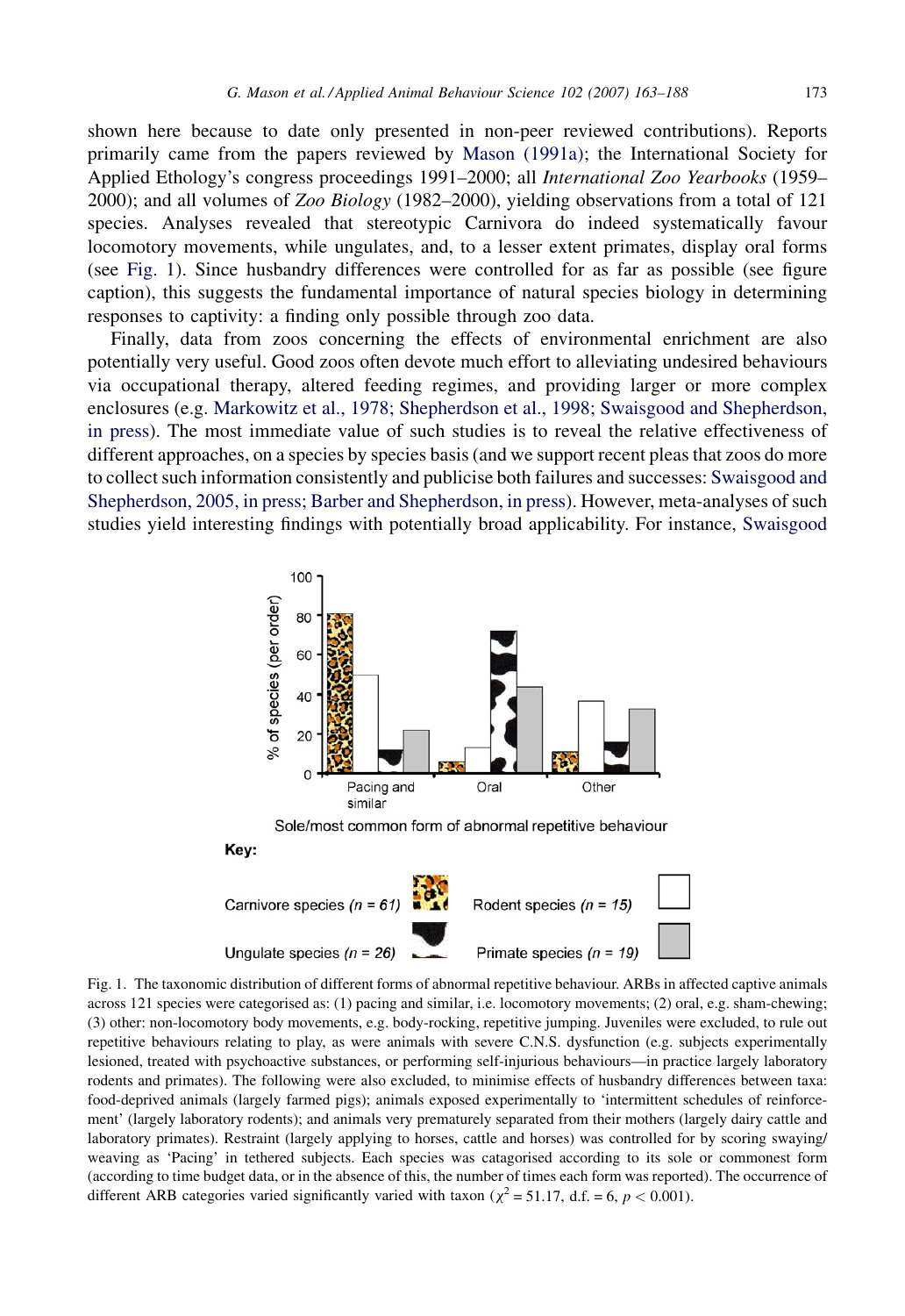<span id="page-10-0"></span>shown here because to date only presented in non-peer reviewed contributions). Reports primarily came from the papers reviewed by [Mason \(1991a\)](#page-23-0); the International Society for Applied Ethology's congress proceedings 1991–2000; all *International Zoo Yearbooks* (1959– 2000); and all volumes of  $Zoo Biology$  (1982–2000), yielding observations from a total of 121 species. Analyses revealed that stereotypic Carnivora do indeed systematically favour locomotory movements, while ungulates, and, to a lesser extent primates, display oral forms (see Fig. 1). Since husbandry differences were controlled for as far as possible (see figure caption), this suggests the fundamental importance of natural species biology in determining responses to captivity: a finding only possible through zoo data.

Finally, data from zoos concerning the effects of environmental enrichment are also potentially very useful. Good zoos often devote much effort to alleviating undesired behaviours via occupational therapy, altered feeding regimes, and providing larger or more complex enclosures (e.g. [Markowitz et al., 1978; Shepherdson et al., 1998; Swaisgood and Shepherdson,](#page-23-0) [in press](#page-23-0)). The most immediate value of such studies is to reveal the relative effectiveness of different approaches, on a species by species basis (and we support recent pleas that zoos do more to collect such information consistently and publicise both failures and successes: [Swaisgood and](#page-25-0) [Shepherdson, 2005, in press; Barber and Shepherdson, in press\)](#page-25-0). However, meta-analyses of such studies yield interesting findings with potentially broad applicability. For instance, [Swaisgood](#page-25-0)



Fig. 1. The taxonomic distribution of different forms of abnormal repetitive behaviour. ARBs in affected captive animals across 121 species were categorised as: (1) pacing and similar, i.e. locomotory movements; (2) oral, e.g. sham-chewing; (3) other: non-locomotory body movements, e.g. body-rocking, repetitive jumping. Juveniles were excluded, to rule out repetitive behaviours relating to play, as were animals with severe C.N.S. dysfunction (e.g. subjects experimentally lesioned, treated with psychoactive substances, or performing self-injurious behaviours—in practice largely laboratory rodents and primates). The following were also excluded, to minimise effects of husbandry differences between taxa: food-deprived animals (largely farmed pigs); animals exposed experimentally to 'intermittent schedules of reinforcement' (largely laboratory rodents); and animals very prematurely separated from their mothers (largely dairy cattle and laboratory primates). Restraint (largely applying to horses, cattle and horses) was controlled for by scoring swaying/ weaving as 'Pacing' in tethered subjects. Each species was catagorised according to its sole or commonest form (according to time budget data, or in the absence of this, the number of times each form was reported). The occurrence of different ARB categories varied significantly varied with taxon ( $\chi^2$  = 51.17, d.f. = 6, p < 0.001).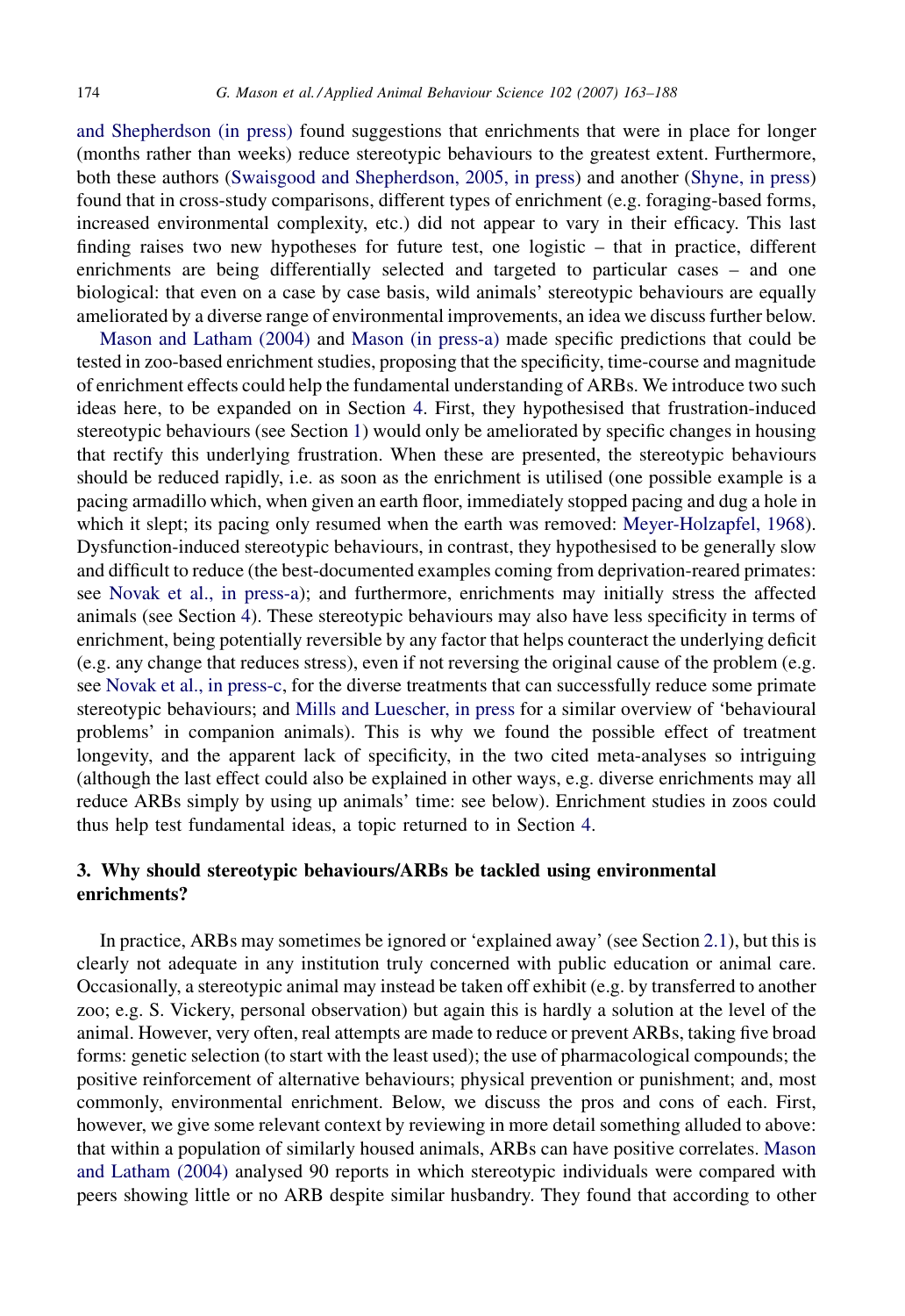<span id="page-11-0"></span>[and Shepherdson \(in press\)](#page-25-0) found suggestions that enrichments that were in place for longer (months rather than weeks) reduce stereotypic behaviours to the greatest extent. Furthermore, both these authors ([Swaisgood and Shepherdson, 2005, in press](#page-25-0)) and another [\(Shyne, in press\)](#page-25-0) found that in cross-study comparisons, different types of enrichment (e.g. foraging-based forms, increased environmental complexity, etc.) did not appear to vary in their efficacy. This last finding raises two new hypotheses for future test, one logistic – that in practice, different enrichments are being differentially selected and targeted to particular cases – and one biological: that even on a case by case basis, wild animals' stereotypic behaviours are equally ameliorated by a diverse range of environmental improvements, an idea we discuss further below.

[Mason and Latham \(2004\)](#page-23-0) and [Mason \(in press-a\)](#page-23-0) made specific predictions that could be tested in zoo-based enrichment studies, proposing that the specificity, time-course and magnitude of enrichment effects could help the fundamental understanding of ARBs. We introduce two such ideas here, to be expanded on in Section [4.](#page-14-0) First, they hypothesised that frustration-induced stereotypic behaviours (see Section [1](#page-1-0)) would only be ameliorated by specific changes in housing that rectify this underlying frustration. When these are presented, the stereotypic behaviours should be reduced rapidly, i.e. as soon as the enrichment is utilised (one possible example is a pacing armadillo which, when given an earth floor, immediately stopped pacing and dug a hole in which it slept; its pacing only resumed when the earth was removed: [Meyer-Holzapfel, 1968](#page-24-0)). Dysfunction-induced stereotypic behaviours, in contrast, they hypothesised to be generally slow and difficult to reduce (the best-documented examples coming from deprivation-reared primates: see [Novak et al., in press-a\)](#page-24-0); and furthermore, enrichments may initially stress the affected animals (see Section [4\)](#page-14-0). These stereotypic behaviours may also have less specificity in terms of enrichment, being potentially reversible by any factor that helps counteract the underlying deficit (e.g. any change that reduces stress), even if not reversing the original cause of the problem (e.g. see [Novak et al., in press-c,](#page-24-0) for the diverse treatments that can successfully reduce some primate stereotypic behaviours; and [Mills and Luescher, in press](#page-24-0) for a similar overview of 'behavioural problems' in companion animals). This is why we found the possible effect of treatment longevity, and the apparent lack of specificity, in the two cited meta-analyses so intriguing (although the last effect could also be explained in other ways, e.g. diverse enrichments may all reduce ARBs simply by using up animals' time: see below). Enrichment studies in zoos could thus help test fundamental ideas, a topic returned to in Section [4.](#page-14-0)

# 3. Why should stereotypic behaviours/ARBs be tackled using environmental enrichments?

In practice, ARBs may sometimes be ignored or 'explained away' (see Section [2.1\)](#page-3-0), but this is clearly not adequate in any institution truly concerned with public education or animal care. Occasionally, a stereotypic animal may instead be taken off exhibit (e.g. by transferred to another zoo; e.g. S. Vickery, personal observation) but again this is hardly a solution at the level of the animal. However, very often, real attempts are made to reduce or prevent ARBs, taking five broad forms: genetic selection (to start with the least used); the use of pharmacological compounds; the positive reinforcement of alternative behaviours; physical prevention or punishment; and, most commonly, environmental enrichment. Below, we discuss the pros and cons of each. First, however, we give some relevant context by reviewing in more detail something alluded to above: that within a population of similarly housed animals, ARBs can have positive correlates. [Mason](#page-23-0) [and Latham \(2004\)](#page-23-0) analysed 90 reports in which stereotypic individuals were compared with peers showing little or no ARB despite similar husbandry. They found that according to other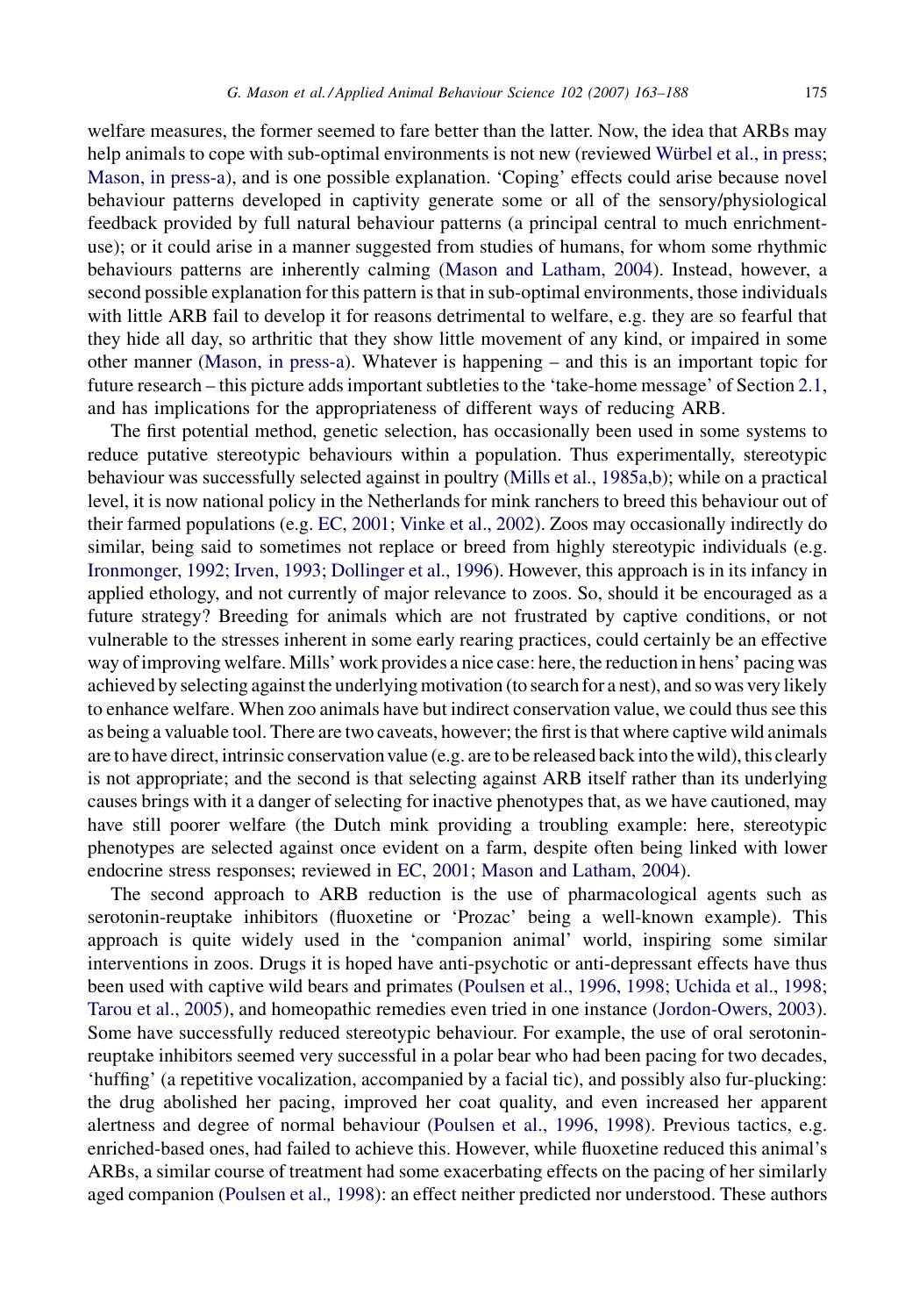welfare measures, the former seemed to fare better than the latter. Now, the idea that ARBs may help animals to cope with sub-optimal environments is not new (reviewed Würbel et al., in press; [Mason, in press-a\)](#page-25-0), and is one possible explanation. 'Coping' effects could arise because novel behaviour patterns developed in captivity generate some or all of the sensory/physiological feedback provided by full natural behaviour patterns (a principal central to much enrichmentuse); or it could arise in a manner suggested from studies of humans, for whom some rhythmic behaviours patterns are inherently calming [\(Mason and Latham, 2004\)](#page-23-0). Instead, however, a second possible explanation for this pattern is that in sub-optimal environments, those individuals with little ARB fail to develop it for reasons detrimental to welfare, e.g. they are so fearful that they hide all day, so arthritic that they show little movement of any kind, or impaired in some other manner ([Mason, in press-a](#page-23-0)). Whatever is happening – and this is an important topic for future research – this picture adds important subtleties to the 'take-home message' of Section [2.1](#page-3-0), and has implications for the appropriateness of different ways of reducing ARB.

The first potential method, genetic selection, has occasionally been used in some systems to reduce putative stereotypic behaviours within a population. Thus experimentally, stereotypic behaviour was successfully selected against in poultry ([Mills et al., 1985a,b](#page-24-0)); while on a practical level, it is now national policy in the Netherlands for mink ranchers to breed this behaviour out of their farmed populations (e.g. [EC, 2001; Vinke et al., 2002](#page-22-0)). Zoos may occasionally indirectly do similar, being said to sometimes not replace or breed from highly stereotypic individuals (e.g. [Ironmonger, 1992; Irven, 1993; Dollinger et al., 1996\)](#page-22-0). However, this approach is in its infancy in applied ethology, and not currently of major relevance to zoos. So, should it be encouraged as a future strategy? Breeding for animals which are not frustrated by captive conditions, or not vulnerable to the stresses inherent in some early rearing practices, could certainly be an effective way of improving welfare. Mills' work provides a nice case: here, the reduction in hens' pacing was achieved by selecting against the underlying motivation (to search for a nest), and so was very likely to enhance welfare. When zoo animals have but indirect conservation value, we could thus see this as being a valuable tool. There are two caveats, however; the first is that where captive wild animals are to have direct, intrinsic conservation value (e.g. are to be released back into the wild), this clearly is not appropriate; and the second is that selecting against ARB itself rather than its underlying causes brings with it a danger of selecting for inactive phenotypes that, as we have cautioned, may have still poorer welfare (the Dutch mink providing a troubling example: here, stereotypic phenotypes are selected against once evident on a farm, despite often being linked with lower endocrine stress responses; reviewed in [EC, 2001; Mason and Latham, 2004\)](#page-22-0).

The second approach to ARB reduction is the use of pharmacological agents such as serotonin-reuptake inhibitors (fluoxetine or 'Prozac' being a well-known example). This approach is quite widely used in the 'companion animal' world, inspiring some similar interventions in zoos. Drugs it is hoped have anti-psychotic or anti-depressant effects have thus been used with captive wild bears and primates [\(Poulsen et al., 1996, 1998; Uchida et al., 1998;](#page-24-0) [Tarou et al., 2005](#page-24-0)), and homeopathic remedies even tried in one instance ([Jordon-Owers, 2003](#page-22-0)). Some have successfully reduced stereotypic behaviour. For example, the use of oral serotoninreuptake inhibitors seemed very successful in a polar bear who had been pacing for two decades, 'huffing' (a repetitive vocalization, accompanied by a facial tic), and possibly also fur-plucking: the drug abolished her pacing, improved her coat quality, and even increased her apparent alertness and degree of normal behaviour [\(Poulsen et al., 1996, 1998](#page-24-0)). Previous tactics, e.g. enriched-based ones, had failed to achieve this. However, while fluoxetine reduced this animal's ARBs, a similar course of treatment had some exacerbating effects on the pacing of her similarly aged companion [\(Poulsen et al.](#page-24-0), 1998): an effect neither predicted nor understood. These authors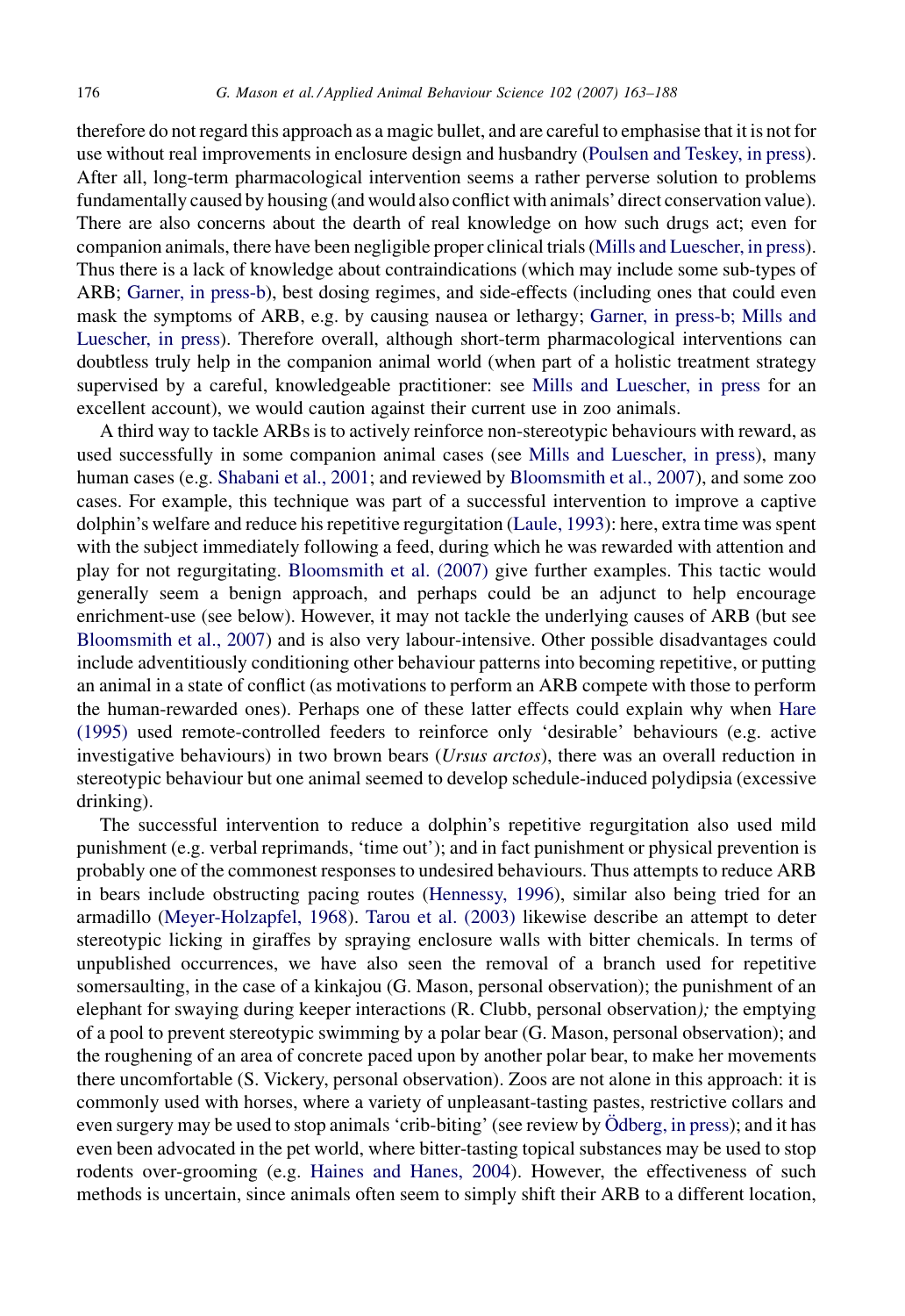therefore do not regard this approach as a magic bullet, and are careful to emphasise that it is not for use without real improvements in enclosure design and husbandry [\(Poulsen and Teskey, in press](#page-24-0)). After all, long-term pharmacological intervention seems a rather perverse solution to problems fundamentally caused by housing (and would also conflict with animals' direct conservation value). There are also concerns about the dearth of real knowledge on how such drugs act; even for companion animals, there have been negligible proper clinical trials ([Mills and Luescher, in press](#page-24-0)). Thus there is a lack of knowledge about contraindications (which may include some sub-types of ARB; [Garner, in press-b](#page-22-0)), best dosing regimes, and side-effects (including ones that could even mask the symptoms of ARB, e.g. by causing nausea or lethargy; [Garner, in press-b; Mills and](#page-22-0) [Luescher, in press\)](#page-22-0). Therefore overall, although short-term pharmacological interventions can doubtless truly help in the companion animal world (when part of a holistic treatment strategy supervised by a careful, knowledgeable practitioner: see [Mills and Luescher, in press](#page-24-0) for an excellent account), we would caution against their current use in zoo animals.

A third way to tackle ARBs is to actively reinforce non-stereotypic behaviours with reward, as used successfully in some companion animal cases (see [Mills and Luescher, in press\)](#page-24-0), many human cases (e.g. [Shabani et al., 2001](#page-24-0); and reviewed by [Bloomsmith et al., 2007\)](#page-21-0), and some zoo cases. For example, this technique was part of a successful intervention to improve a captive dolphin's welfare and reduce his repetitive regurgitation [\(Laule, 1993\)](#page-23-0): here, extra time was spent with the subject immediately following a feed, during which he was rewarded with attention and play for not regurgitating. [Bloomsmith et al. \(2007\)](#page-21-0) give further examples. This tactic would generally seem a benign approach, and perhaps could be an adjunct to help encourage enrichment-use (see below). However, it may not tackle the underlying causes of ARB (but see [Bloomsmith et al., 2007](#page-21-0)) and is also very labour-intensive. Other possible disadvantages could include adventitiously conditioning other behaviour patterns into becoming repetitive, or putting an animal in a state of conflict (as motivations to perform an ARB compete with those to perform the human-rewarded ones). Perhaps one of these latter effects could explain why when [Hare](#page-22-0) [\(1995\)](#page-22-0) used remote-controlled feeders to reinforce only 'desirable' behaviours (e.g. active investigative behaviours) in two brown bears (Ursus arctos), there was an overall reduction in stereotypic behaviour but one animal seemed to develop schedule-induced polydipsia (excessive drinking).

The successful intervention to reduce a dolphin's repetitive regurgitation also used mild punishment (e.g. verbal reprimands, 'time out'); and in fact punishment or physical prevention is probably one of the commonest responses to undesired behaviours. Thus attempts to reduce ARB in bears include obstructing pacing routes ([Hennessy, 1996](#page-22-0)), similar also being tried for an armadillo [\(Meyer-Holzapfel, 1968\)](#page-24-0). [Tarou et al. \(2003\)](#page-25-0) likewise describe an attempt to deter stereotypic licking in giraffes by spraying enclosure walls with bitter chemicals. In terms of unpublished occurrences, we have also seen the removal of a branch used for repetitive somersaulting, in the case of a kinkajou (G. Mason, personal observation); the punishment of an elephant for swaying during keeper interactions (R. Clubb, personal observation); the emptying of a pool to prevent stereotypic swimming by a polar bear (G. Mason, personal observation); and the roughening of an area of concrete paced upon by another polar bear, to make her movements there uncomfortable (S. Vickery, personal observation). Zoos are not alone in this approach: it is commonly used with horses, where a variety of unpleasant-tasting pastes, restrictive collars and even surgery may be used to stop animals 'crib-biting' (see review by Ö[dberg, in press](#page-24-0)); and it has even been advocated in the pet world, where bitter-tasting topical substances may be used to stop rodents over-grooming (e.g. [Haines and Hanes, 2004](#page-22-0)). However, the effectiveness of such methods is uncertain, since animals often seem to simply shift their ARB to a different location,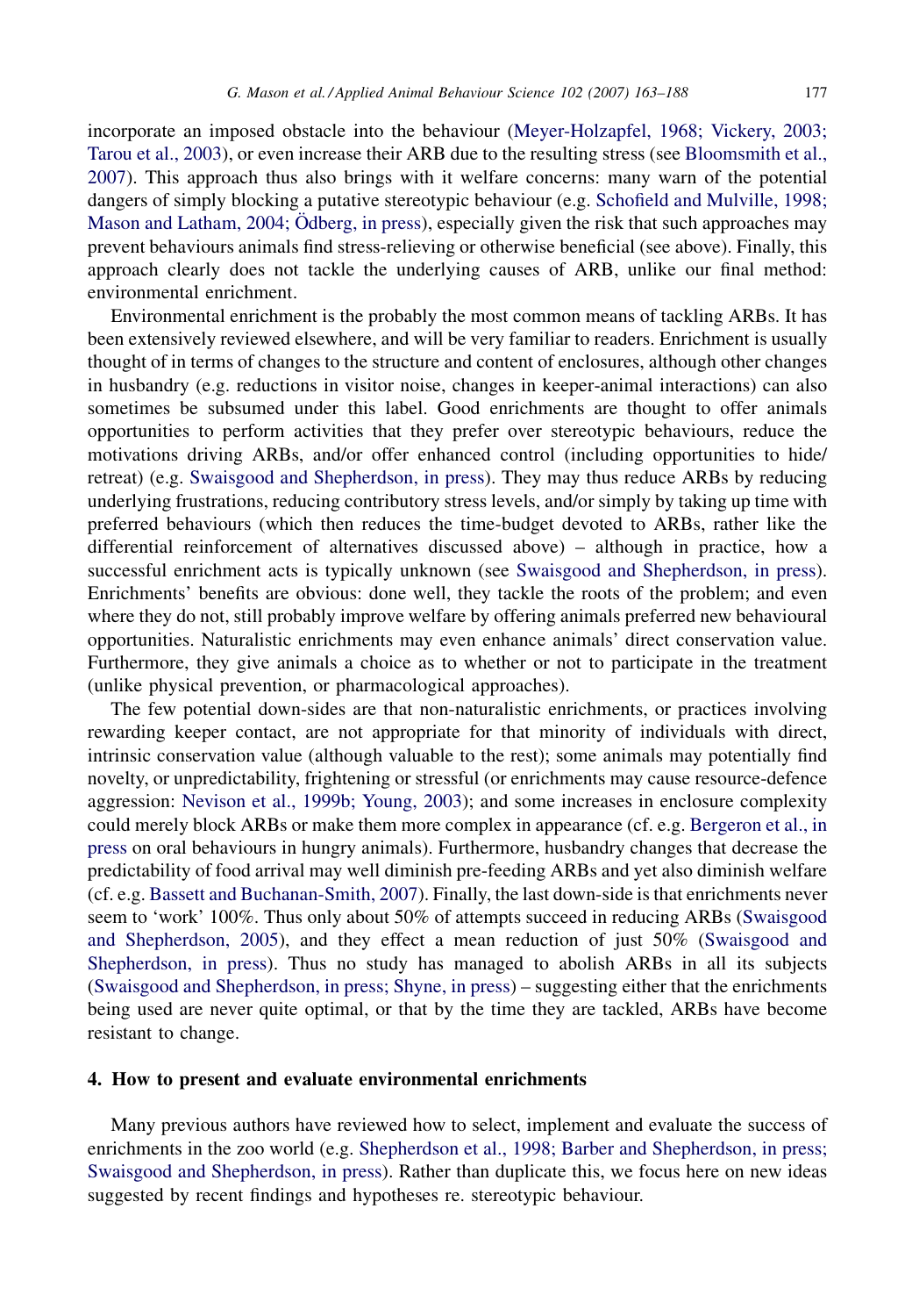<span id="page-14-0"></span>incorporate an imposed obstacle into the behaviour ([Meyer-Holzapfel, 1968; Vickery, 2003;](#page-24-0) [Tarou et al., 2003\)](#page-24-0), or even increase their ARB due to the resulting stress (see [Bloomsmith et al.,](#page-21-0) [2007](#page-21-0)). This approach thus also brings with it welfare concerns: many warn of the potential dangers of simply blocking a putative stereotypic behaviour (e.g. [Schofield and Mulville, 1998;](#page-24-0) Mason and Latham, 2004; Ödberg, in press), especially given the risk that such approaches may prevent behaviours animals find stress-relieving or otherwise beneficial (see above). Finally, this approach clearly does not tackle the underlying causes of ARB, unlike our final method: environmental enrichment.

Environmental enrichment is the probably the most common means of tackling ARBs. It has been extensively reviewed elsewhere, and will be very familiar to readers. Enrichment is usually thought of in terms of changes to the structure and content of enclosures, although other changes in husbandry (e.g. reductions in visitor noise, changes in keeper-animal interactions) can also sometimes be subsumed under this label. Good enrichments are thought to offer animals opportunities to perform activities that they prefer over stereotypic behaviours, reduce the motivations driving ARBs, and/or offer enhanced control (including opportunities to hide/ retreat) (e.g. [Swaisgood and Shepherdson, in press\)](#page-25-0). They may thus reduce ARBs by reducing underlying frustrations, reducing contributory stress levels, and/or simply by taking up time with preferred behaviours (which then reduces the time-budget devoted to ARBs, rather like the differential reinforcement of alternatives discussed above) – although in practice, how a successful enrichment acts is typically unknown (see [Swaisgood and Shepherdson, in press](#page-25-0)). Enrichments' benefits are obvious: done well, they tackle the roots of the problem; and even where they do not, still probably improve welfare by offering animals preferred new behavioural opportunities. Naturalistic enrichments may even enhance animals' direct conservation value. Furthermore, they give animals a choice as to whether or not to participate in the treatment (unlike physical prevention, or pharmacological approaches).

The few potential down-sides are that non-naturalistic enrichments, or practices involving rewarding keeper contact, are not appropriate for that minority of individuals with direct, intrinsic conservation value (although valuable to the rest); some animals may potentially find novelty, or unpredictability, frightening or stressful (or enrichments may cause resource-defence aggression: [Nevison et al., 1999b; Young, 2003](#page-24-0)); and some increases in enclosure complexity could merely block ARBs or make them more complex in appearance (cf. e.g. [Bergeron et al., in](#page-21-0) [press](#page-21-0) on oral behaviours in hungry animals). Furthermore, husbandry changes that decrease the predictability of food arrival may well diminish pre-feeding ARBs and yet also diminish welfare (cf. e.g. [Bassett and Buchanan-Smith, 2007](#page-21-0)). Finally, the last down-side is that enrichments never seem to 'work' 100%. Thus only about 50% of attempts succeed in reducing ARBs [\(Swaisgood](#page-25-0) [and Shepherdson, 2005](#page-25-0)), and they effect a mean reduction of just 50% ([Swaisgood and](#page-25-0) [Shepherdson, in press](#page-25-0)). Thus no study has managed to abolish ARBs in all its subjects ([Swaisgood and Shepherdson, in press; Shyne, in press\)](#page-25-0) – suggesting either that the enrichments being used are never quite optimal, or that by the time they are tackled, ARBs have become resistant to change.

#### 4. How to present and evaluate environmental enrichments

Many previous authors have reviewed how to select, implement and evaluate the success of enrichments in the zoo world (e.g. [Shepherdson et al., 1998; Barber and Shepherdson, in press;](#page-25-0) [Swaisgood and Shepherdson, in press\)](#page-25-0). Rather than duplicate this, we focus here on new ideas suggested by recent findings and hypotheses re. stereotypic behaviour.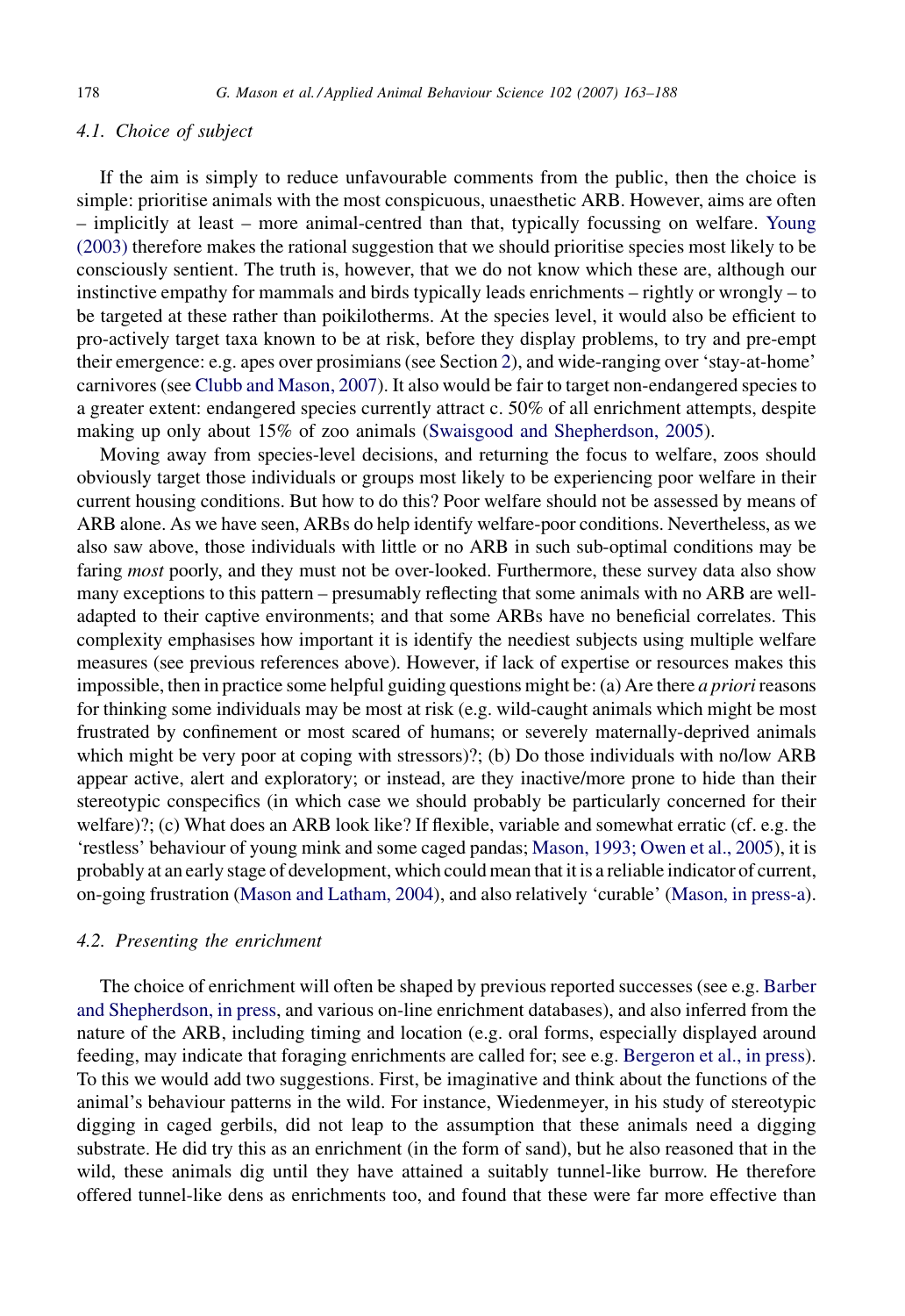#### <span id="page-15-0"></span>4.1. Choice of subject

If the aim is simply to reduce unfavourable comments from the public, then the choice is simple: prioritise animals with the most conspicuous, unaesthetic ARB. However, aims are often – implicitly at least – more animal-centred than that, typically focussing on welfare. [Young](#page-25-0) [\(2003\)](#page-25-0) therefore makes the rational suggestion that we should prioritise species most likely to be consciously sentient. The truth is, however, that we do not know which these are, although our instinctive empathy for mammals and birds typically leads enrichments – rightly or wrongly – to be targeted at these rather than poikilotherms. At the species level, it would also be efficient to pro-actively target taxa known to be at risk, before they display problems, to try and pre-empt their emergence: e.g. apes over prosimians (see Section [2](#page-3-0)), and wide-ranging over 'stay-at-home' carnivores (see [Clubb and Mason, 2007](#page-21-0)). It also would be fair to target non-endangered species to a greater extent: endangered species currently attract c. 50% of all enrichment attempts, despite making up only about 15% of zoo animals ([Swaisgood and Shepherdson, 2005](#page-25-0)).

Moving away from species-level decisions, and returning the focus to welfare, zoos should obviously target those individuals or groups most likely to be experiencing poor welfare in their current housing conditions. But how to do this? Poor welfare should not be assessed by means of ARB alone. As we have seen, ARBs do help identify welfare-poor conditions. Nevertheless, as we also saw above, those individuals with little or no ARB in such sub-optimal conditions may be faring most poorly, and they must not be over-looked. Furthermore, these survey data also show many exceptions to this pattern – presumably reflecting that some animals with no ARB are welladapted to their captive environments; and that some ARBs have no beneficial correlates. This complexity emphasises how important it is identify the neediest subjects using multiple welfare measures (see previous references above). However, if lack of expertise or resources makes this impossible, then in practice some helpful guiding questions might be: (a) Are there *a priori* reasons for thinking some individuals may be most at risk (e.g. wild-caught animals which might be most frustrated by confinement or most scared of humans; or severely maternally-deprived animals which might be very poor at coping with stressors)?; (b) Do those individuals with no/low ARB appear active, alert and exploratory; or instead, are they inactive/more prone to hide than their stereotypic conspecifics (in which case we should probably be particularly concerned for their welfare)?; (c) What does an ARB look like? If flexible, variable and somewhat erratic (cf. e.g. the 'restless' behaviour of young mink and some caged pandas; [Mason, 1993; Owen et al., 2005](#page-23-0)), it is probably at an early stage of development, which could mean that it is a reliable indicator of current, on-going frustration [\(Mason and Latham, 2004](#page-23-0)), and also relatively 'curable' [\(Mason, in press-a](#page-23-0)).

### 4.2. Presenting the enrichment

The choice of enrichment will often be shaped by previous reported successes (see e.g. [Barber](#page-21-0) [and Shepherdson, in press,](#page-21-0) and various on-line enrichment databases), and also inferred from the nature of the ARB, including timing and location (e.g. oral forms, especially displayed around feeding, may indicate that foraging enrichments are called for; see e.g. [Bergeron et al., in press](#page-21-0)). To this we would add two suggestions. First, be imaginative and think about the functions of the animal's behaviour patterns in the wild. For instance, Wiedenmeyer, in his study of stereotypic digging in caged gerbils, did not leap to the assumption that these animals need a digging substrate. He did try this as an enrichment (in the form of sand), but he also reasoned that in the wild, these animals dig until they have attained a suitably tunnel-like burrow. He therefore offered tunnel-like dens as enrichments too, and found that these were far more effective than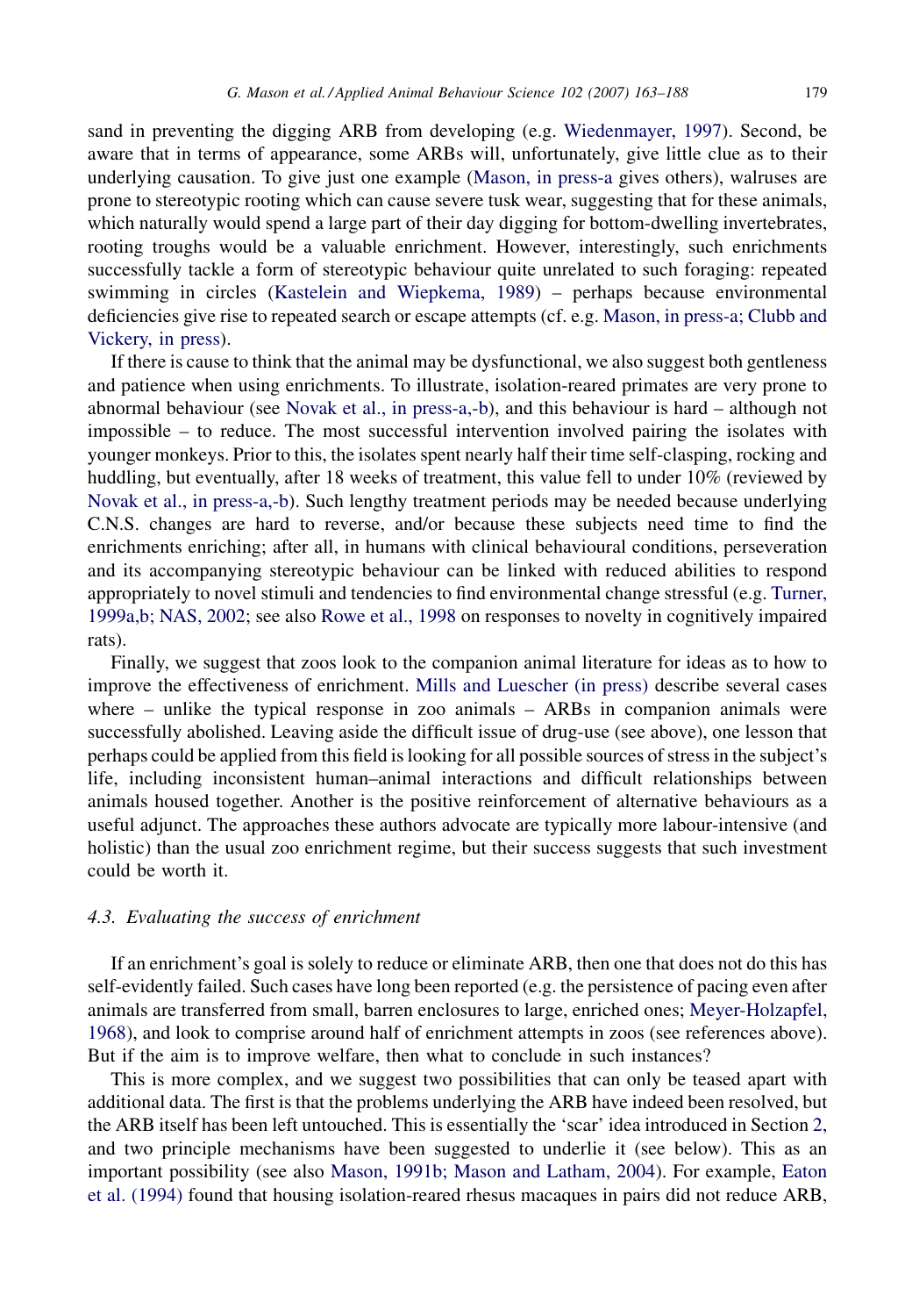<span id="page-16-0"></span>sand in preventing the digging ARB from developing (e.g. [Wiedenmayer, 1997](#page-25-0)). Second, be aware that in terms of appearance, some ARBs will, unfortunately, give little clue as to their underlying causation. To give just one example ([Mason, in press-a](#page-23-0) gives others), walruses are prone to stereotypic rooting which can cause severe tusk wear, suggesting that for these animals, which naturally would spend a large part of their day digging for bottom-dwelling invertebrates, rooting troughs would be a valuable enrichment. However, interestingly, such enrichments successfully tackle a form of stereotypic behaviour quite unrelated to such foraging: repeated swimming in circles ([Kastelein and Wiepkema, 1989\)](#page-22-0) – perhaps because environmental deficiencies give rise to repeated search or escape attempts (cf. e.g. [Mason, in press-a; Clubb and](#page-23-0) [Vickery, in press\)](#page-23-0).

If there is cause to think that the animal may be dysfunctional, we also suggest both gentleness and patience when using enrichments. To illustrate, isolation-reared primates are very prone to abnormal behaviour (see [Novak et al., in press-a,-b\)](#page-24-0), and this behaviour is hard – although not impossible – to reduce. The most successful intervention involved pairing the isolates with younger monkeys. Prior to this, the isolates spent nearly half their time self-clasping, rocking and huddling, but eventually, after 18 weeks of treatment, this value fell to under 10% (reviewed by [Novak et al., in press-a,-b](#page-24-0)). Such lengthy treatment periods may be needed because underlying C.N.S. changes are hard to reverse, and/or because these subjects need time to find the enrichments enriching; after all, in humans with clinical behavioural conditions, perseveration and its accompanying stereotypic behaviour can be linked with reduced abilities to respond appropriately to novel stimuli and tendencies to find environmental change stressful (e.g. [Turner,](#page-25-0) [1999a,b; NAS, 2002;](#page-25-0) see also [Rowe et al., 1998](#page-24-0) on responses to novelty in cognitively impaired rats).

Finally, we suggest that zoos look to the companion animal literature for ideas as to how to improve the effectiveness of enrichment. [Mills and Luescher \(in press\)](#page-24-0) describe several cases where – unlike the typical response in zoo animals – ARBs in companion animals were successfully abolished. Leaving aside the difficult issue of drug-use (see above), one lesson that perhaps could be applied from this field is looking for all possible sources of stress in the subject's life, including inconsistent human–animal interactions and difficult relationships between animals housed together. Another is the positive reinforcement of alternative behaviours as a useful adjunct. The approaches these authors advocate are typically more labour-intensive (and holistic) than the usual zoo enrichment regime, but their success suggests that such investment could be worth it.

#### 4.3. Evaluating the success of enrichment

If an enrichment's goal is solely to reduce or eliminate ARB, then one that does not do this has self-evidently failed. Such cases have long been reported (e.g. the persistence of pacing even after animals are transferred from small, barren enclosures to large, enriched ones; [Meyer-Holzapfel,](#page-24-0) [1968](#page-24-0)), and look to comprise around half of enrichment attempts in zoos (see references above). But if the aim is to improve welfare, then what to conclude in such instances?

This is more complex, and we suggest two possibilities that can only be teased apart with additional data. The first is that the problems underlying the ARB have indeed been resolved, but the ARB itself has been left untouched. This is essentially the 'scar' idea introduced in Section [2](#page-3-0), and two principle mechanisms have been suggested to underlie it (see below). This as an important possibility (see also [Mason, 1991b; Mason and Latham, 2004](#page-23-0)). For example, [Eaton](#page-22-0) [et al. \(1994\)](#page-22-0) found that housing isolation-reared rhesus macaques in pairs did not reduce ARB,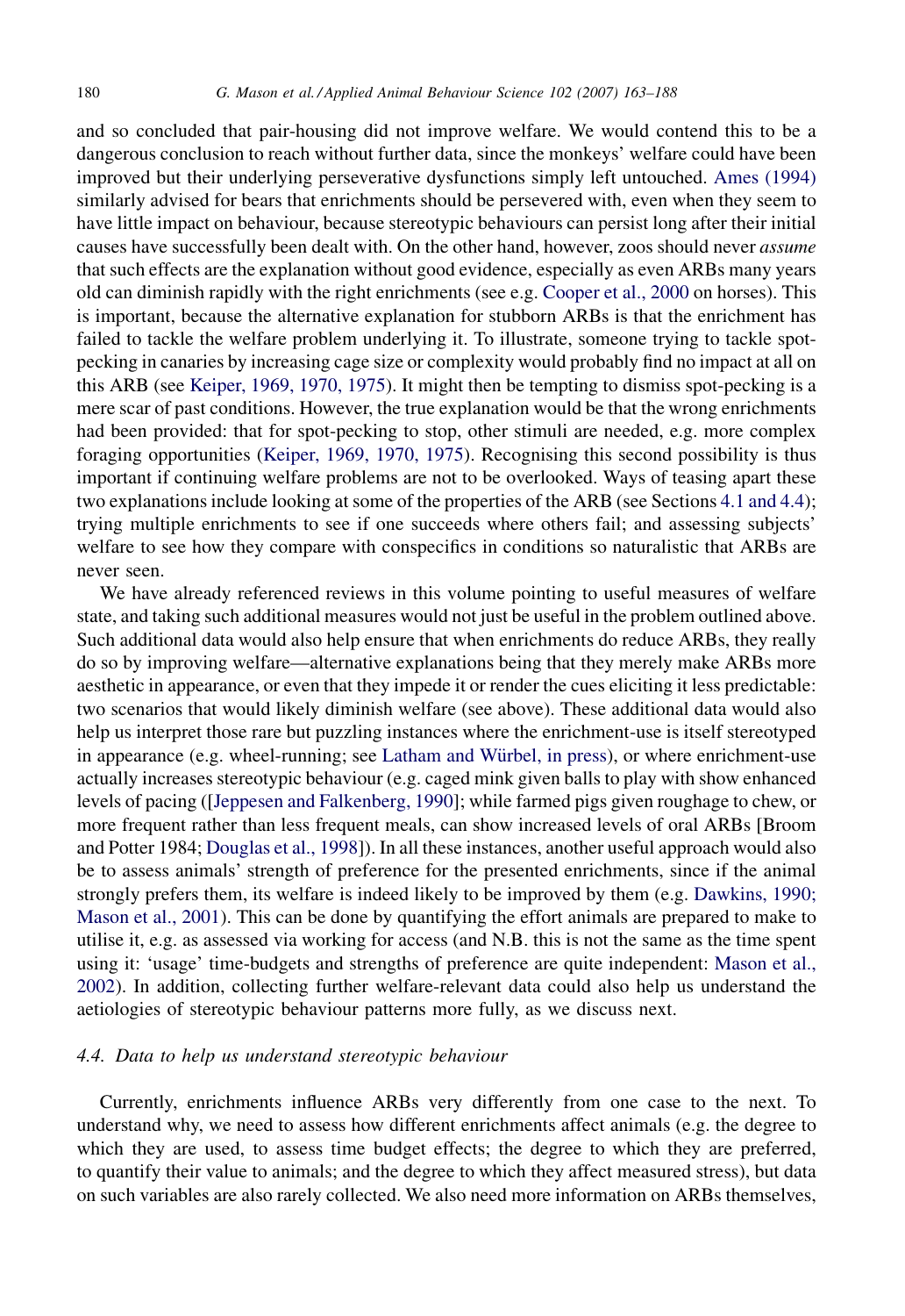and so concluded that pair-housing did not improve welfare. We would contend this to be a dangerous conclusion to reach without further data, since the monkeys' welfare could have been improved but their underlying perseverative dysfunctions simply left untouched. [Ames \(1994\)](#page-21-0) similarly advised for bears that enrichments should be persevered with, even when they seem to have little impact on behaviour, because stereotypic behaviours can persist long after their initial causes have successfully been dealt with. On the other hand, however, zoos should never *assume* that such effects are the explanation without good evidence, especially as even ARBs many years old can diminish rapidly with the right enrichments (see e.g. [Cooper et al., 2000](#page-22-0) on horses). This is important, because the alternative explanation for stubborn ARBs is that the enrichment has failed to tackle the welfare problem underlying it. To illustrate, someone trying to tackle spotpecking in canaries by increasing cage size or complexity would probably find no impact at all on this ARB (see [Keiper, 1969, 1970, 1975\)](#page-22-0). It might then be tempting to dismiss spot-pecking is a mere scar of past conditions. However, the true explanation would be that the wrong enrichments had been provided: that for spot-pecking to stop, other stimuli are needed, e.g. more complex foraging opportunities [\(Keiper, 1969, 1970, 1975\)](#page-22-0). Recognising this second possibility is thus important if continuing welfare problems are not to be overlooked. Ways of teasing apart these two explanations include looking at some of the properties of the ARB (see Sections [4.1 and 4.4](#page-15-0)); trying multiple enrichments to see if one succeeds where others fail; and assessing subjects' welfare to see how they compare with conspecifics in conditions so naturalistic that ARBs are never seen.

We have already referenced reviews in this volume pointing to useful measures of welfare state, and taking such additional measures would not just be useful in the problem outlined above. Such additional data would also help ensure that when enrichments do reduce ARBs, they really do so by improving welfare—alternative explanations being that they merely make ARBs more aesthetic in appearance, or even that they impede it or render the cues eliciting it less predictable: two scenarios that would likely diminish welfare (see above). These additional data would also help us interpret those rare but puzzling instances where the enrichment-use is itself stereotyped in appearance (e.g. wheel-running; see Latham and Würbel, in press), or where enrichment-use actually increases stereotypic behaviour (e.g. caged mink given balls to play with show enhanced levels of pacing ([[Jeppesen and Falkenberg, 1990](#page-22-0)]; while farmed pigs given roughage to chew, or more frequent rather than less frequent meals, can show increased levels of oral ARBs [Broom and Potter 1984; [Douglas et al., 1998](#page-22-0)]). In all these instances, another useful approach would also be to assess animals' strength of preference for the presented enrichments, since if the animal strongly prefers them, its welfare is indeed likely to be improved by them (e.g. [Dawkins, 1990;](#page-22-0) [Mason et al., 2001\)](#page-22-0). This can be done by quantifying the effort animals are prepared to make to utilise it, e.g. as assessed via working for access (and N.B. this is not the same as the time spent using it: 'usage' time-budgets and strengths of preference are quite independent: [Mason et al.,](#page-23-0) [2002\)](#page-23-0). In addition, collecting further welfare-relevant data could also help us understand the aetiologies of stereotypic behaviour patterns more fully, as we discuss next.

## 4.4. Data to help us understand stereotypic behaviour

Currently, enrichments influence ARBs very differently from one case to the next. To understand why, we need to assess how different enrichments affect animals (e.g. the degree to which they are used, to assess time budget effects; the degree to which they are preferred, to quantify their value to animals; and the degree to which they affect measured stress), but data on such variables are also rarely collected. We also need more information on ARBs themselves,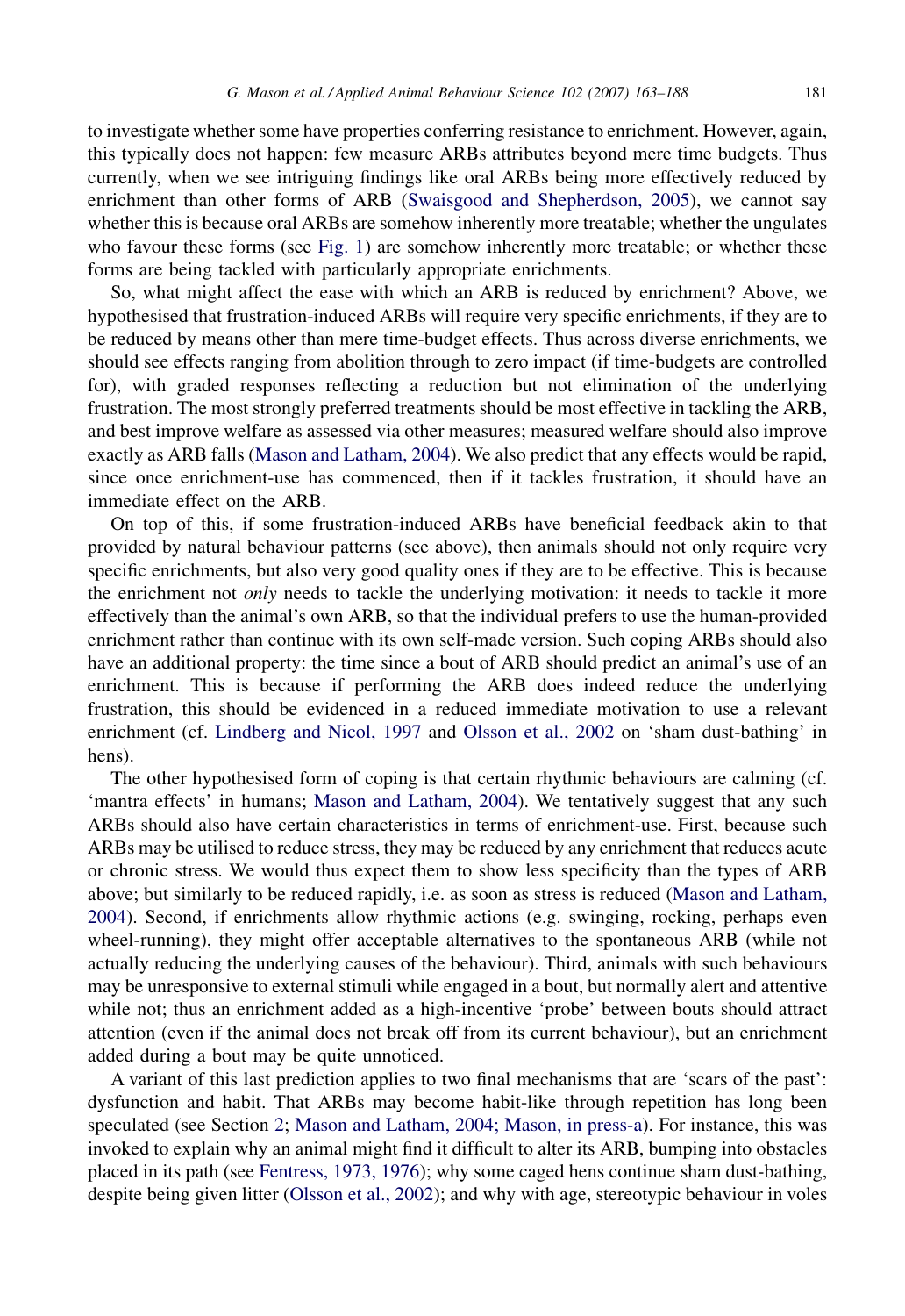to investigate whether some have properties conferring resistance to enrichment. However, again, this typically does not happen: few measure ARBs attributes beyond mere time budgets. Thus currently, when we see intriguing findings like oral ARBs being more effectively reduced by enrichment than other forms of ARB ([Swaisgood and Shepherdson, 2005\)](#page-25-0), we cannot say whether this is because oral ARBs are somehow inherently more treatable; whether the ungulates who favour these forms (see [Fig. 1\)](#page-10-0) are somehow inherently more treatable; or whether these forms are being tackled with particularly appropriate enrichments.

So, what might affect the ease with which an ARB is reduced by enrichment? Above, we hypothesised that frustration-induced ARBs will require very specific enrichments, if they are to be reduced by means other than mere time-budget effects. Thus across diverse enrichments, we should see effects ranging from abolition through to zero impact (if time-budgets are controlled for), with graded responses reflecting a reduction but not elimination of the underlying frustration. The most strongly preferred treatments should be most effective in tackling the ARB, and best improve welfare as assessed via other measures; measured welfare should also improve exactly as ARB falls ([Mason and Latham, 2004\)](#page-23-0). We also predict that any effects would be rapid, since once enrichment-use has commenced, then if it tackles frustration, it should have an immediate effect on the ARB.

On top of this, if some frustration-induced ARBs have beneficial feedback akin to that provided by natural behaviour patterns (see above), then animals should not only require very specific enrichments, but also very good quality ones if they are to be effective. This is because the enrichment not *only* needs to tackle the underlying motivation: it needs to tackle it more effectively than the animal's own ARB, so that the individual prefers to use the human-provided enrichment rather than continue with its own self-made version. Such coping ARBs should also have an additional property: the time since a bout of ARB should predict an animal's use of an enrichment. This is because if performing the ARB does indeed reduce the underlying frustration, this should be evidenced in a reduced immediate motivation to use a relevant enrichment (cf. [Lindberg and Nicol, 1997](#page-23-0) and [Olsson et al., 2002](#page-24-0) on 'sham dust-bathing' in hens).

The other hypothesised form of coping is that certain rhythmic behaviours are calming (cf. 'mantra effects' in humans; [Mason and Latham, 2004\)](#page-23-0). We tentatively suggest that any such ARBs should also have certain characteristics in terms of enrichment-use. First, because such ARBs may be utilised to reduce stress, they may be reduced by any enrichment that reduces acute or chronic stress. We would thus expect them to show less specificity than the types of ARB above; but similarly to be reduced rapidly, i.e. as soon as stress is reduced ([Mason and Latham,](#page-23-0) [2004](#page-23-0)). Second, if enrichments allow rhythmic actions (e.g. swinging, rocking, perhaps even wheel-running), they might offer acceptable alternatives to the spontaneous ARB (while not actually reducing the underlying causes of the behaviour). Third, animals with such behaviours may be unresponsive to external stimuli while engaged in a bout, but normally alert and attentive while not; thus an enrichment added as a high-incentive 'probe' between bouts should attract attention (even if the animal does not break off from its current behaviour), but an enrichment added during a bout may be quite unnoticed.

A variant of this last prediction applies to two final mechanisms that are 'scars of the past': dysfunction and habit. That ARBs may become habit-like through repetition has long been speculated (see Section [2](#page-3-0); [Mason and Latham, 2004; Mason, in press-a](#page-23-0)). For instance, this was invoked to explain why an animal might find it difficult to alter its ARB, bumping into obstacles placed in its path (see [Fentress, 1973, 1976](#page-22-0)); why some caged hens continue sham dust-bathing, despite being given litter ([Olsson et al., 2002](#page-24-0)); and why with age, stereotypic behaviour in voles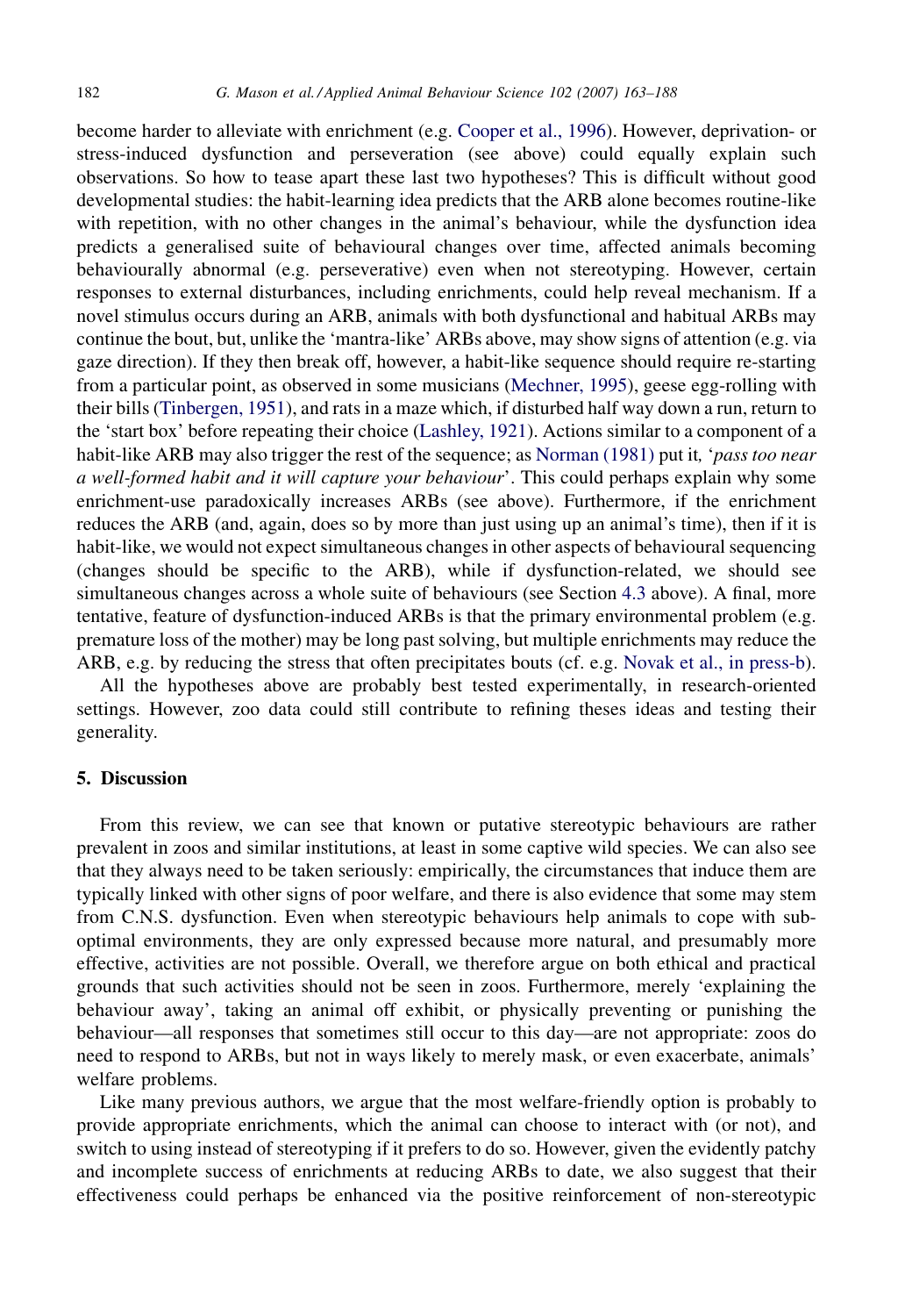become harder to alleviate with enrichment (e.g. [Cooper et al., 1996\)](#page-21-0). However, deprivation- or stress-induced dysfunction and perseveration (see above) could equally explain such observations. So how to tease apart these last two hypotheses? This is difficult without good developmental studies: the habit-learning idea predicts that the ARB alone becomes routine-like with repetition, with no other changes in the animal's behaviour, while the dysfunction idea predicts a generalised suite of behavioural changes over time, affected animals becoming behaviourally abnormal (e.g. perseverative) even when not stereotyping. However, certain responses to external disturbances, including enrichments, could help reveal mechanism. If a novel stimulus occurs during an ARB, animals with both dysfunctional and habitual ARBs may continue the bout, but, unlike the 'mantra-like' ARBs above, may show signs of attention (e.g. via gaze direction). If they then break off, however, a habit-like sequence should require re-starting from a particular point, as observed in some musicians [\(Mechner, 1995\)](#page-23-0), geese egg-rolling with their bills ([Tinbergen, 1951\)](#page-25-0), and rats in a maze which, if disturbed half way down a run, return to the 'start box' before repeating their choice ([Lashley, 1921\)](#page-23-0). Actions similar to a component of a habit-like ARB may also trigger the rest of the sequence; as [Norman \(1981\)](#page-24-0) put it, 'pass too near a well-formed habit and it will capture your behaviour'. This could perhaps explain why some enrichment-use paradoxically increases ARBs (see above). Furthermore, if the enrichment reduces the ARB (and, again, does so by more than just using up an animal's time), then if it is habit-like, we would not expect simultaneous changes in other aspects of behavioural sequencing (changes should be specific to the ARB), while if dysfunction-related, we should see simultaneous changes across a whole suite of behaviours (see Section [4.3](#page-16-0) above). A final, more tentative, feature of dysfunction-induced ARBs is that the primary environmental problem (e.g. premature loss of the mother) may be long past solving, but multiple enrichments may reduce the ARB, e.g. by reducing the stress that often precipitates bouts (cf. e.g. [Novak et al., in press-b](#page-24-0)).

All the hypotheses above are probably best tested experimentally, in research-oriented settings. However, zoo data could still contribute to refining theses ideas and testing their generality.

# 5. Discussion

From this review, we can see that known or putative stereotypic behaviours are rather prevalent in zoos and similar institutions, at least in some captive wild species. We can also see that they always need to be taken seriously: empirically, the circumstances that induce them are typically linked with other signs of poor welfare, and there is also evidence that some may stem from C.N.S. dysfunction. Even when stereotypic behaviours help animals to cope with suboptimal environments, they are only expressed because more natural, and presumably more effective, activities are not possible. Overall, we therefore argue on both ethical and practical grounds that such activities should not be seen in zoos. Furthermore, merely 'explaining the behaviour away', taking an animal off exhibit, or physically preventing or punishing the behaviour—all responses that sometimes still occur to this day—are not appropriate: zoos do need to respond to ARBs, but not in ways likely to merely mask, or even exacerbate, animals' welfare problems.

Like many previous authors, we argue that the most welfare-friendly option is probably to provide appropriate enrichments, which the animal can choose to interact with (or not), and switch to using instead of stereotyping if it prefers to do so. However, given the evidently patchy and incomplete success of enrichments at reducing ARBs to date, we also suggest that their effectiveness could perhaps be enhanced via the positive reinforcement of non-stereotypic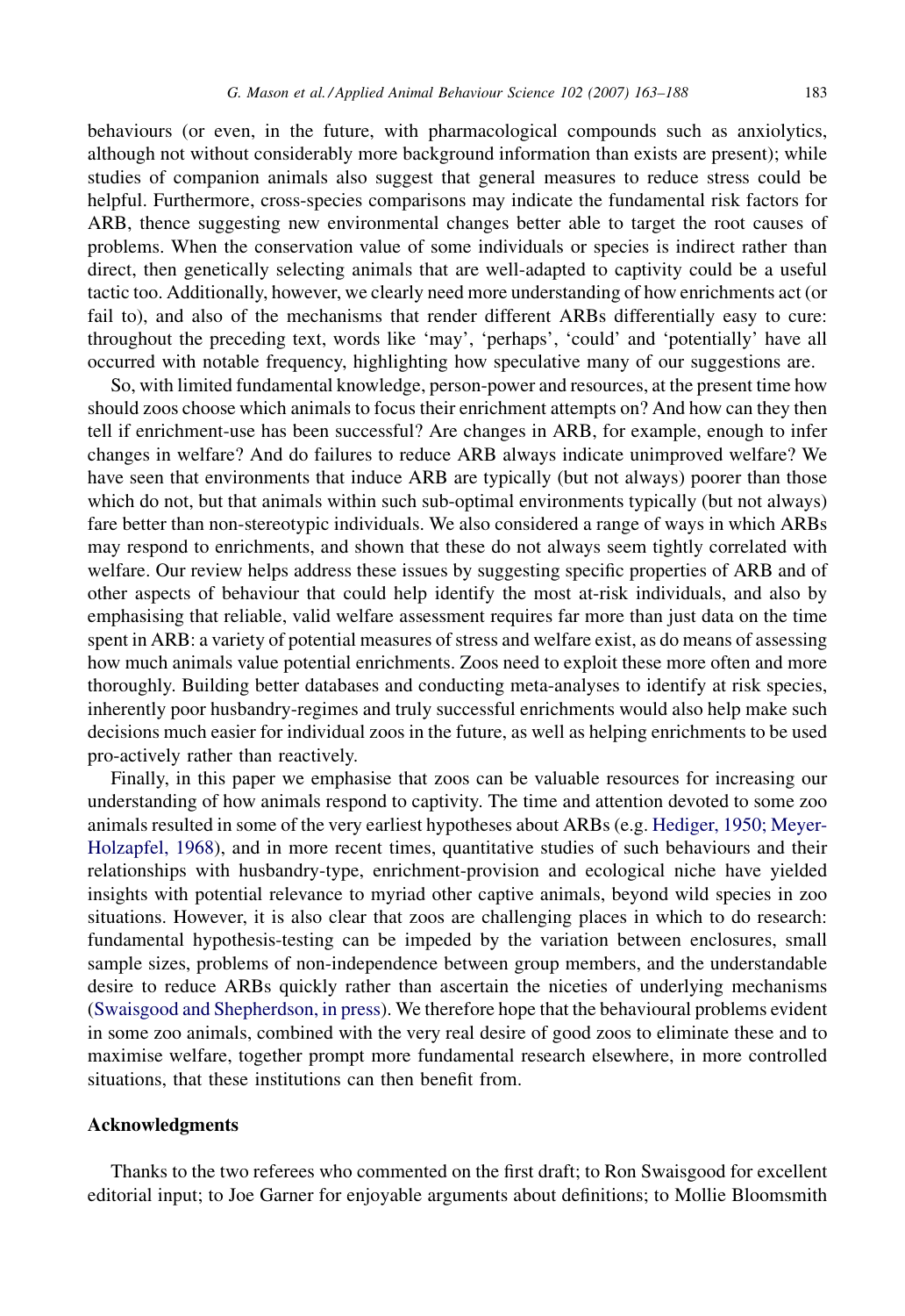behaviours (or even, in the future, with pharmacological compounds such as anxiolytics, although not without considerably more background information than exists are present); while studies of companion animals also suggest that general measures to reduce stress could be helpful. Furthermore, cross-species comparisons may indicate the fundamental risk factors for ARB, thence suggesting new environmental changes better able to target the root causes of problems. When the conservation value of some individuals or species is indirect rather than direct, then genetically selecting animals that are well-adapted to captivity could be a useful tactic too. Additionally, however, we clearly need more understanding of how enrichments act (or fail to), and also of the mechanisms that render different ARBs differentially easy to cure: throughout the preceding text, words like 'may', 'perhaps', 'could' and 'potentially' have all occurred with notable frequency, highlighting how speculative many of our suggestions are.

So, with limited fundamental knowledge, person-power and resources, at the present time how should zoos choose which animals to focus their enrichment attempts on? And how can they then tell if enrichment-use has been successful? Are changes in ARB, for example, enough to infer changes in welfare? And do failures to reduce ARB always indicate unimproved welfare? We have seen that environments that induce ARB are typically (but not always) poorer than those which do not, but that animals within such sub-optimal environments typically (but not always) fare better than non-stereotypic individuals. We also considered a range of ways in which ARBs may respond to enrichments, and shown that these do not always seem tightly correlated with welfare. Our review helps address these issues by suggesting specific properties of ARB and of other aspects of behaviour that could help identify the most at-risk individuals, and also by emphasising that reliable, valid welfare assessment requires far more than just data on the time spent in ARB: a variety of potential measures of stress and welfare exist, as do means of assessing how much animals value potential enrichments. Zoos need to exploit these more often and more thoroughly. Building better databases and conducting meta-analyses to identify at risk species, inherently poor husbandry-regimes and truly successful enrichments would also help make such decisions much easier for individual zoos in the future, as well as helping enrichments to be used pro-actively rather than reactively.

Finally, in this paper we emphasise that zoos can be valuable resources for increasing our understanding of how animals respond to captivity. The time and attention devoted to some zoo animals resulted in some of the very earliest hypotheses about ARBs (e.g. [Hediger, 1950; Meyer-](#page-22-0)[Holzapfel, 1968\)](#page-22-0), and in more recent times, quantitative studies of such behaviours and their relationships with husbandry-type, enrichment-provision and ecological niche have yielded insights with potential relevance to myriad other captive animals, beyond wild species in zoo situations. However, it is also clear that zoos are challenging places in which to do research: fundamental hypothesis-testing can be impeded by the variation between enclosures, small sample sizes, problems of non-independence between group members, and the understandable desire to reduce ARBs quickly rather than ascertain the niceties of underlying mechanisms ([Swaisgood and Shepherdson, in press\)](#page-25-0). We therefore hope that the behavioural problems evident in some zoo animals, combined with the very real desire of good zoos to eliminate these and to maximise welfare, together prompt more fundamental research elsewhere, in more controlled situations, that these institutions can then benefit from.

## Acknowledgments

Thanks to the two referees who commented on the first draft; to Ron Swaisgood for excellent editorial input; to Joe Garner for enjoyable arguments about definitions; to Mollie Bloomsmith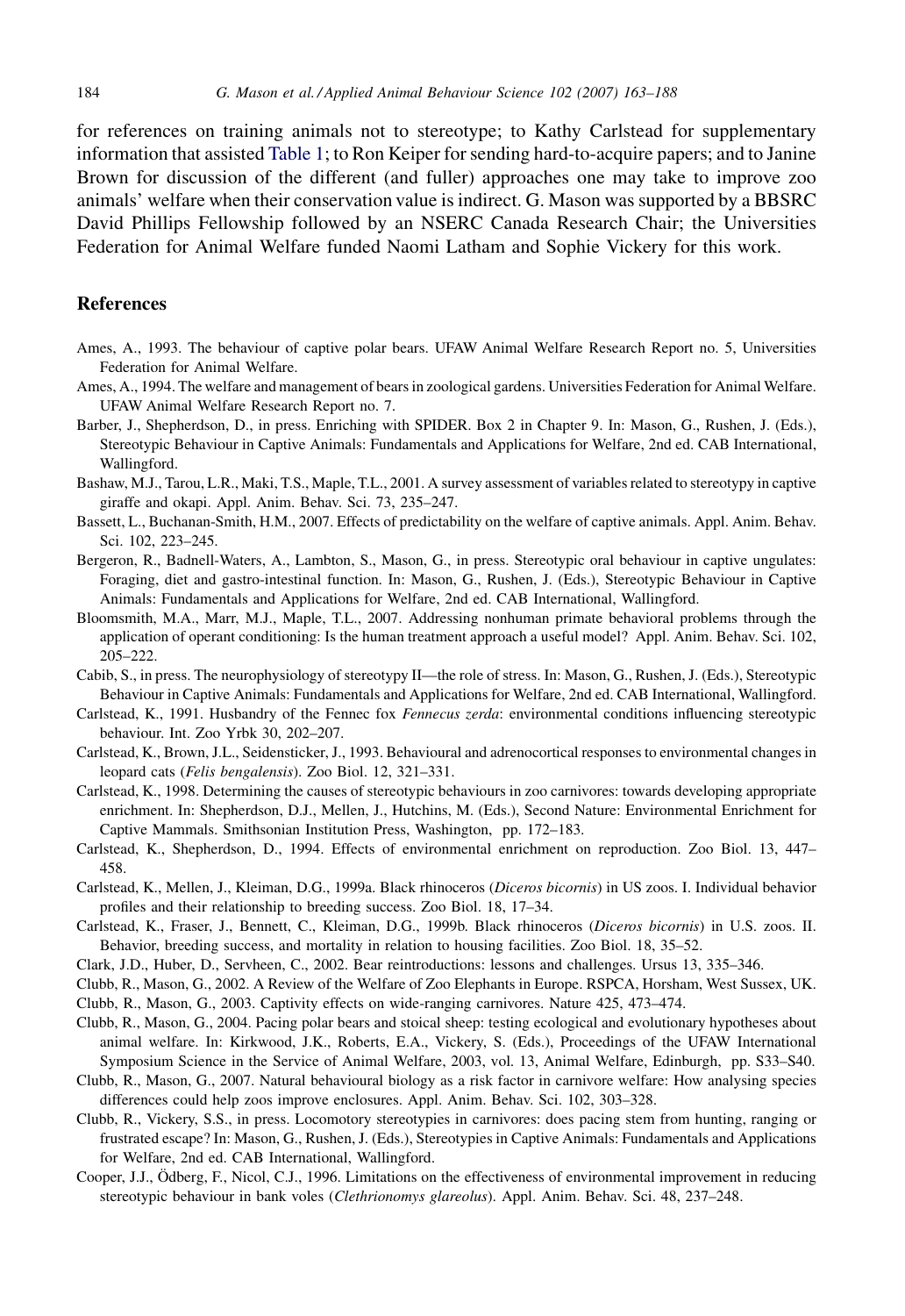<span id="page-21-0"></span>for references on training animals not to stereotype; to Kathy Carlstead for supplementary information that assisted [Table 1;](#page-4-0) to Ron Keiper for sending hard-to-acquire papers; and to Janine Brown for discussion of the different (and fuller) approaches one may take to improve zoo animals' welfare when their conservation value is indirect. G. Mason was supported by a BBSRC David Phillips Fellowship followed by an NSERC Canada Research Chair; the Universities Federation for Animal Welfare funded Naomi Latham and Sophie Vickery for this work.

#### References

- Ames, A., 1993. The behaviour of captive polar bears. UFAW Animal Welfare Research Report no. 5, Universities Federation for Animal Welfare.
- Ames, A., 1994. The welfare and management of bears in zoological gardens. Universities Federation for Animal Welfare. UFAW Animal Welfare Research Report no. 7.
- Barber, J., Shepherdson, D., in press. Enriching with SPIDER. Box 2 in Chapter 9. In: Mason, G., Rushen, J. (Eds.), Stereotypic Behaviour in Captive Animals: Fundamentals and Applications for Welfare, 2nd ed. CAB International, Wallingford.
- Bashaw, M.J., Tarou, L.R., Maki, T.S., Maple, T.L., 2001. A survey assessment of variables related to stereotypy in captive giraffe and okapi. Appl. Anim. Behav. Sci. 73, 235–247.
- Bassett, L., Buchanan-Smith, H.M., 2007. Effects of predictability on the welfare of captive animals. Appl. Anim. Behav. Sci. 102, 223–245.
- Bergeron, R., Badnell-Waters, A., Lambton, S., Mason, G., in press. Stereotypic oral behaviour in captive ungulates: Foraging, diet and gastro-intestinal function. In: Mason, G., Rushen, J. (Eds.), Stereotypic Behaviour in Captive Animals: Fundamentals and Applications for Welfare, 2nd ed. CAB International, Wallingford.
- Bloomsmith, M.A., Marr, M.J., Maple, T.L., 2007. Addressing nonhuman primate behavioral problems through the application of operant conditioning: Is the human treatment approach a useful model? Appl. Anim. Behav. Sci. 102, 205–222.
- Cabib, S., in press. The neurophysiology of stereotypy II—the role of stress. In: Mason, G., Rushen, J. (Eds.), Stereotypic Behaviour in Captive Animals: Fundamentals and Applications for Welfare, 2nd ed. CAB International, Wallingford.
- Carlstead, K., 1991. Husbandry of the Fennec fox *Fennecus zerda*: environmental conditions influencing stereotypic behaviour. Int. Zoo Yrbk 30, 202–207.
- Carlstead, K., Brown, J.L., Seidensticker, J., 1993. Behavioural and adrenocortical responses to environmental changes in leopard cats (Felis bengalensis). Zoo Biol. 12, 321–331.
- Carlstead, K., 1998. Determining the causes of stereotypic behaviours in zoo carnivores: towards developing appropriate enrichment. In: Shepherdson, D.J., Mellen, J., Hutchins, M. (Eds.), Second Nature: Environmental Enrichment for Captive Mammals. Smithsonian Institution Press, Washington, pp. 172–183.
- Carlstead, K., Shepherdson, D., 1994. Effects of environmental enrichment on reproduction. Zoo Biol. 13, 447– 458.
- Carlstead, K., Mellen, J., Kleiman, D.G., 1999a. Black rhinoceros (Diceros bicornis) in US zoos. I. Individual behavior profiles and their relationship to breeding success. Zoo Biol. 18, 17–34.
- Carlstead, K., Fraser, J., Bennett, C., Kleiman, D.G., 1999b. Black rhinoceros (Diceros bicornis) in U.S. zoos. II. Behavior, breeding success, and mortality in relation to housing facilities. Zoo Biol. 18, 35–52.
- Clark, J.D., Huber, D., Servheen, C., 2002. Bear reintroductions: lessons and challenges. Ursus 13, 335–346.
- Clubb, R., Mason, G., 2002. A Review of the Welfare of Zoo Elephants in Europe. RSPCA, Horsham, West Sussex, UK.
- Clubb, R., Mason, G., 2003. Captivity effects on wide-ranging carnivores. Nature 425, 473–474.
- Clubb, R., Mason, G., 2004. Pacing polar bears and stoical sheep: testing ecological and evolutionary hypotheses about animal welfare. In: Kirkwood, J.K., Roberts, E.A., Vickery, S. (Eds.), Proceedings of the UFAW International Symposium Science in the Service of Animal Welfare, 2003, vol. 13, Animal Welfare, Edinburgh, pp. S33–S40.
- Clubb, R., Mason, G., 2007. Natural behavioural biology as a risk factor in carnivore welfare: How analysing species differences could help zoos improve enclosures. Appl. Anim. Behav. Sci. 102, 303–328.
- Clubb, R., Vickery, S.S., in press. Locomotory stereotypies in carnivores: does pacing stem from hunting, ranging or frustrated escape? In: Mason, G., Rushen, J. (Eds.), Stereotypies in Captive Animals: Fundamentals and Applications for Welfare, 2nd ed. CAB International, Wallingford.
- Cooper, J.J., Ödberg, F., Nicol, C.J., 1996. Limitations on the effectiveness of environmental improvement in reducing stereotypic behaviour in bank voles (Clethrionomys glareolus). Appl. Anim. Behav. Sci. 48, 237–248.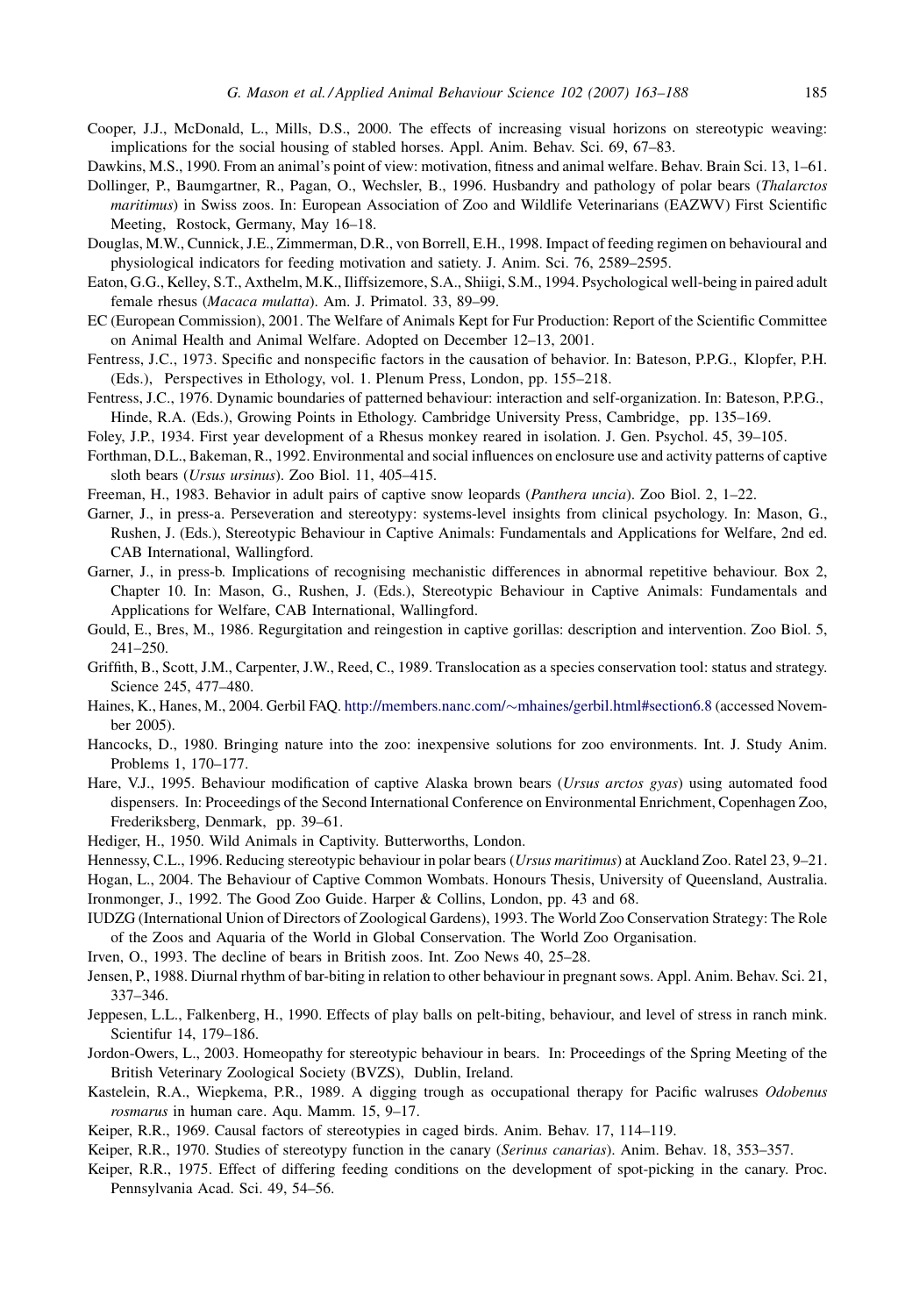- <span id="page-22-0"></span>Cooper, J.J., McDonald, L., Mills, D.S., 2000. The effects of increasing visual horizons on stereotypic weaving: implications for the social housing of stabled horses. Appl. Anim. Behav. Sci. 69, 67–83.
- Dawkins, M.S., 1990. From an animal's point of view: motivation, fitness and animal welfare. Behav. Brain Sci. 13, 1–61.
- Dollinger, P., Baumgartner, R., Pagan, O., Wechsler, B., 1996. Husbandry and pathology of polar bears (*Thalarctos* maritimus) in Swiss zoos. In: European Association of Zoo and Wildlife Veterinarians (EAZWV) First Scientific Meeting, Rostock, Germany, May 16–18.
- Douglas, M.W., Cunnick, J.E., Zimmerman, D.R., von Borrell, E.H., 1998. Impact of feeding regimen on behavioural and physiological indicators for feeding motivation and satiety. J. Anim. Sci. 76, 2589–2595.
- Eaton, G.G., Kelley, S.T., Axthelm, M.K., Iliffsizemore, S.A., Shiigi, S.M., 1994. Psychological well-being in paired adult female rhesus (Macaca mulatta). Am. J. Primatol. 33, 89–99.
- EC (European Commission), 2001. The Welfare of Animals Kept for Fur Production: Report of the Scientific Committee on Animal Health and Animal Welfare. Adopted on December 12–13, 2001.
- Fentress, J.C., 1973. Specific and nonspecific factors in the causation of behavior. In: Bateson, P.P.G., Klopfer, P.H. (Eds.), Perspectives in Ethology, vol. 1. Plenum Press, London, pp. 155–218.
- Fentress, J.C., 1976. Dynamic boundaries of patterned behaviour: interaction and self-organization. In: Bateson, P.P.G., Hinde, R.A. (Eds.), Growing Points in Ethology. Cambridge University Press, Cambridge, pp. 135–169.
- Foley, J.P., 1934. First year development of a Rhesus monkey reared in isolation. J. Gen. Psychol. 45, 39–105.
- Forthman, D.L., Bakeman, R., 1992. Environmental and social influences on enclosure use and activity patterns of captive sloth bears (Ursus ursinus). Zoo Biol. 11, 405–415.
- Freeman, H., 1983. Behavior in adult pairs of captive snow leopards (Panthera uncia). Zoo Biol. 2, 1–22.
- Garner, J., in press-a. Perseveration and stereotypy: systems-level insights from clinical psychology. In: Mason, G., Rushen, J. (Eds.), Stereotypic Behaviour in Captive Animals: Fundamentals and Applications for Welfare, 2nd ed. CAB International, Wallingford.
- Garner, J., in press-b. Implications of recognising mechanistic differences in abnormal repetitive behaviour. Box 2, Chapter 10. In: Mason, G., Rushen, J. (Eds.), Stereotypic Behaviour in Captive Animals: Fundamentals and Applications for Welfare, CAB International, Wallingford.
- Gould, E., Bres, M., 1986. Regurgitation and reingestion in captive gorillas: description and intervention. Zoo Biol. 5, 241–250.
- Griffith, B., Scott, J.M., Carpenter, J.W., Reed, C., 1989. Translocation as a species conservation tool: status and strategy. Science 245, 477–480.
- Haines, K., Hanes, M., 2004. Gerbil FAQ. [http://members.nanc.com/](http://members.nanc.com/~mhaines/gerbil.html%23section6.8)-[mhaines/gerbil.html#section6.8](http://members.nanc.com/~mhaines/gerbil.html%23section6.8) (accessed November 2005).
- Hancocks, D., 1980. Bringing nature into the zoo: inexpensive solutions for zoo environments. Int. J. Study Anim. Problems 1, 170–177.
- Hare, V.J., 1995. Behaviour modification of captive Alaska brown bears (*Ursus arctos gyas*) using automated food dispensers. In: Proceedings of the Second International Conference on Environmental Enrichment, Copenhagen Zoo, Frederiksberg, Denmark, pp. 39–61.
- Hediger, H., 1950. Wild Animals in Captivity. Butterworths, London.
- Hennessy, C.L., 1996. Reducing stereotypic behaviour in polar bears (Ursus maritimus) at Auckland Zoo. Ratel 23, 9–21.
- Hogan, L., 2004. The Behaviour of Captive Common Wombats. Honours Thesis, University of Queensland, Australia. Ironmonger, J., 1992. The Good Zoo Guide. Harper & Collins, London, pp. 43 and 68.
- IUDZG (International Union of Directors of Zoological Gardens), 1993. The World Zoo Conservation Strategy: The Role of the Zoos and Aquaria of the World in Global Conservation. The World Zoo Organisation.
- Irven, O., 1993. The decline of bears in British zoos. Int. Zoo News 40, 25–28.
- Jensen, P., 1988. Diurnal rhythm of bar-biting in relation to other behaviour in pregnant sows. Appl. Anim. Behav. Sci. 21, 337–346.
- Jeppesen, L.L., Falkenberg, H., 1990. Effects of play balls on pelt-biting, behaviour, and level of stress in ranch mink. Scientifur 14, 179–186.
- Jordon-Owers, L., 2003. Homeopathy for stereotypic behaviour in bears. In: Proceedings of the Spring Meeting of the British Veterinary Zoological Society (BVZS), Dublin, Ireland.
- Kastelein, R.A., Wiepkema, P.R., 1989. A digging trough as occupational therapy for Pacific walruses Odobenus rosmarus in human care. Aqu. Mamm. 15, 9–17.
- Keiper, R.R., 1969. Causal factors of stereotypies in caged birds. Anim. Behav. 17, 114–119.
- Keiper, R.R., 1970. Studies of stereotypy function in the canary (Serinus canarias). Anim. Behav. 18, 353–357.
- Keiper, R.R., 1975. Effect of differing feeding conditions on the development of spot-picking in the canary. Proc. Pennsylvania Acad. Sci. 49, 54–56.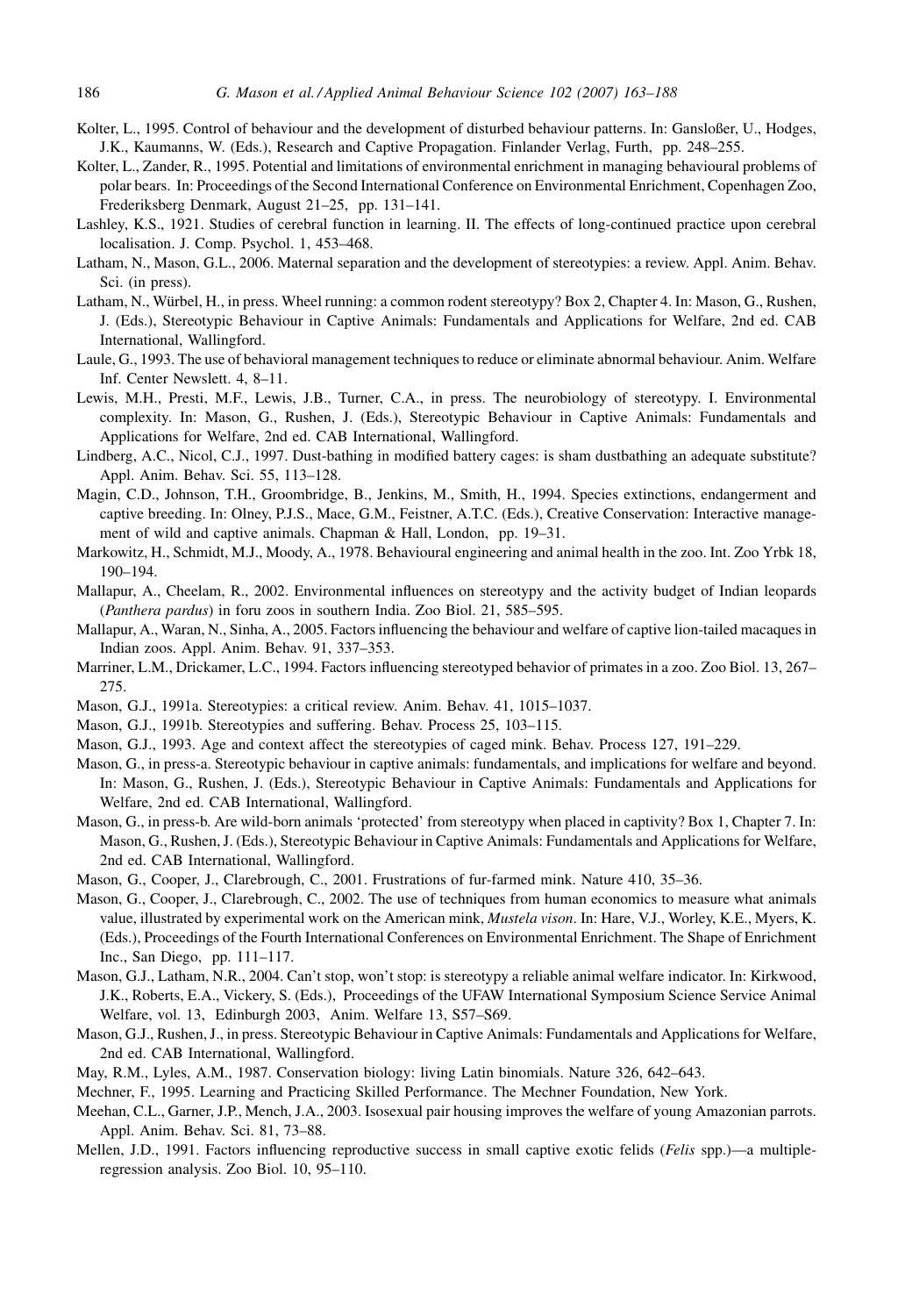- <span id="page-23-0"></span>Kolter, L., 1995. Control of behaviour and the development of disturbed behaviour patterns. In: Gansloßer, U., Hodges, J.K., Kaumanns, W. (Eds.), Research and Captive Propagation. Finlander Verlag, Furth, pp. 248–255.
- Kolter, L., Zander, R., 1995. Potential and limitations of environmental enrichment in managing behavioural problems of polar bears. In: Proceedings of the Second International Conference on Environmental Enrichment, Copenhagen Zoo, Frederiksberg Denmark, August 21–25, pp. 131–141.
- Lashley, K.S., 1921. Studies of cerebral function in learning. II. The effects of long-continued practice upon cerebral localisation. J. Comp. Psychol. 1, 453–468.
- Latham, N., Mason, G.L., 2006. Maternal separation and the development of stereotypies: a review. Appl. Anim. Behav. Sci. (in press).
- Latham, N., Würbel, H., in press. Wheel running: a common rodent stereotypy? Box 2, Chapter 4. In: Mason, G., Rushen, J. (Eds.), Stereotypic Behaviour in Captive Animals: Fundamentals and Applications for Welfare, 2nd ed. CAB International, Wallingford.
- Laule, G., 1993. The use of behavioral management techniques to reduce or eliminate abnormal behaviour. Anim. Welfare Inf. Center Newslett. 4, 8–11.
- Lewis, M.H., Presti, M.F., Lewis, J.B., Turner, C.A., in press. The neurobiology of stereotypy. I. Environmental complexity. In: Mason, G., Rushen, J. (Eds.), Stereotypic Behaviour in Captive Animals: Fundamentals and Applications for Welfare, 2nd ed. CAB International, Wallingford.
- Lindberg, A.C., Nicol, C.J., 1997. Dust-bathing in modified battery cages: is sham dustbathing an adequate substitute? Appl. Anim. Behav. Sci. 55, 113–128.
- Magin, C.D., Johnson, T.H., Groombridge, B., Jenkins, M., Smith, H., 1994. Species extinctions, endangerment and captive breeding. In: Olney, P.J.S., Mace, G.M., Feistner, A.T.C. (Eds.), Creative Conservation: Interactive management of wild and captive animals. Chapman & Hall, London, pp. 19–31.
- Markowitz, H., Schmidt, M.J., Moody, A., 1978. Behavioural engineering and animal health in the zoo. Int. Zoo Yrbk 18, 190–194.
- Mallapur, A., Cheelam, R., 2002. Environmental influences on stereotypy and the activity budget of Indian leopards (Panthera pardus) in foru zoos in southern India. Zoo Biol. 21, 585–595.
- Mallapur, A., Waran, N., Sinha, A., 2005. Factors influencing the behaviour and welfare of captive lion-tailed macaques in Indian zoos. Appl. Anim. Behav. 91, 337–353.
- Marriner, L.M., Drickamer, L.C., 1994. Factors influencing stereotyped behavior of primates in a zoo. Zoo Biol. 13, 267– 275.
- Mason, G.J., 1991a. Stereotypies: a critical review. Anim. Behav. 41, 1015–1037.
- Mason, G.J., 1991b. Stereotypies and suffering. Behav. Process 25, 103–115.
- Mason, G.J., 1993. Age and context affect the stereotypies of caged mink. Behav. Process 127, 191–229.
- Mason, G., in press-a. Stereotypic behaviour in captive animals: fundamentals, and implications for welfare and beyond. In: Mason, G., Rushen, J. (Eds.), Stereotypic Behaviour in Captive Animals: Fundamentals and Applications for Welfare, 2nd ed. CAB International, Wallingford.
- Mason, G., in press-b. Are wild-born animals 'protected' from stereotypy when placed in captivity? Box 1, Chapter 7. In: Mason, G., Rushen, J. (Eds.), Stereotypic Behaviour in Captive Animals: Fundamentals and Applications for Welfare, 2nd ed. CAB International, Wallingford.
- Mason, G., Cooper, J., Clarebrough, C., 2001. Frustrations of fur-farmed mink. Nature 410, 35–36.
- Mason, G., Cooper, J., Clarebrough, C., 2002. The use of techniques from human economics to measure what animals value, illustrated by experimental work on the American mink, Mustela vison. In: Hare, V.J., Worley, K.E., Myers, K. (Eds.), Proceedings of the Fourth International Conferences on Environmental Enrichment. The Shape of Enrichment Inc., San Diego, pp. 111–117.
- Mason, G.J., Latham, N.R., 2004. Can't stop, won't stop: is stereotypy a reliable animal welfare indicator. In: Kirkwood, J.K., Roberts, E.A., Vickery, S. (Eds.), Proceedings of the UFAW International Symposium Science Service Animal Welfare, vol. 13, Edinburgh 2003, Anim. Welfare 13, S57–S69.
- Mason, G.J., Rushen, J., in press. Stereotypic Behaviour in Captive Animals: Fundamentals and Applications for Welfare, 2nd ed. CAB International, Wallingford.
- May, R.M., Lyles, A.M., 1987. Conservation biology: living Latin binomials. Nature 326, 642–643.
- Mechner, F., 1995. Learning and Practicing Skilled Performance. The Mechner Foundation, New York.
- Meehan, C.L., Garner, J.P., Mench, J.A., 2003. Isosexual pair housing improves the welfare of young Amazonian parrots. Appl. Anim. Behav. Sci. 81, 73–88.
- Mellen, J.D., 1991. Factors influencing reproductive success in small captive exotic felids (Felis spp.)—a multipleregression analysis. Zoo Biol. 10, 95–110.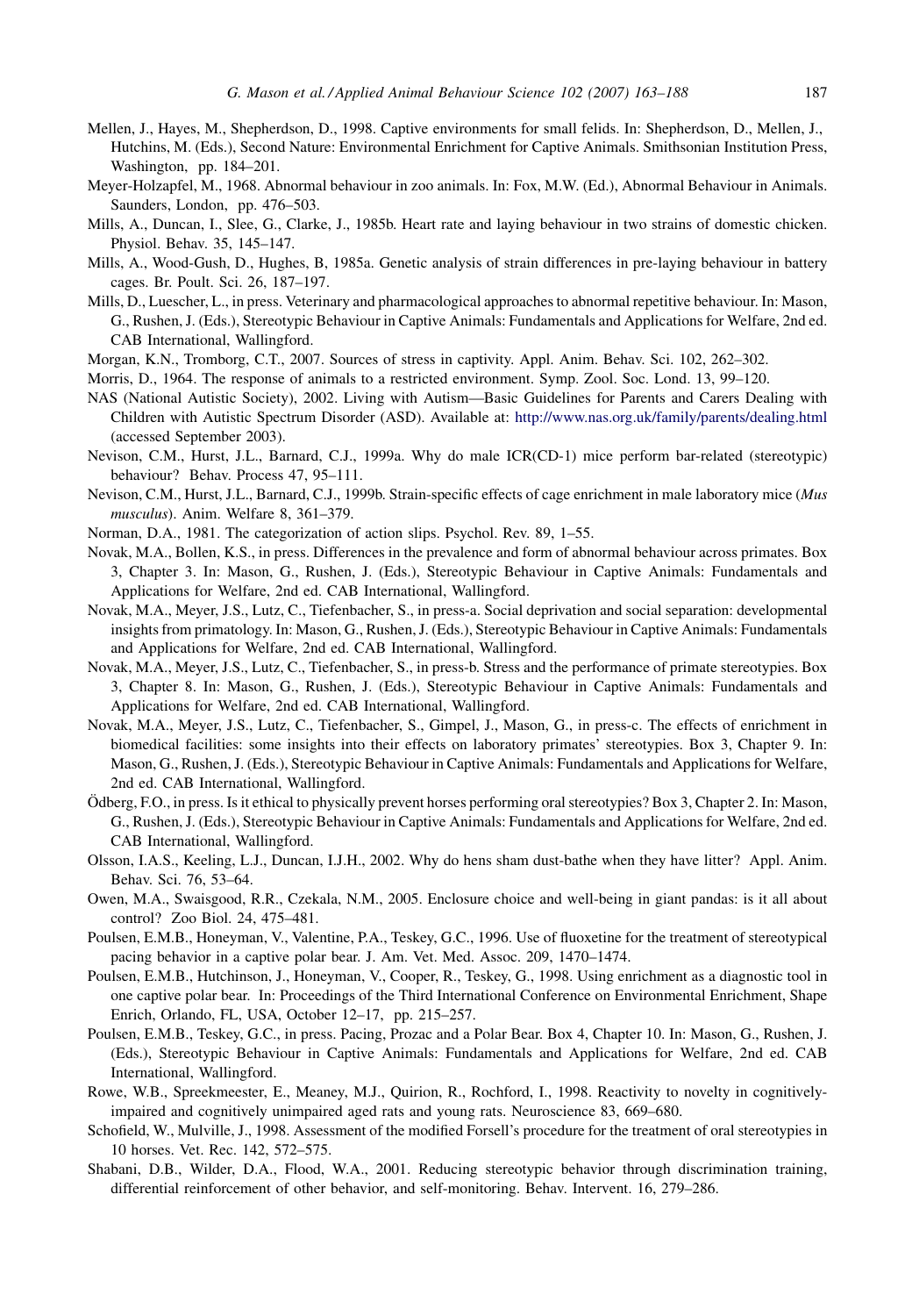- <span id="page-24-0"></span>Mellen, J., Hayes, M., Shepherdson, D., 1998. Captive environments for small felids. In: Shepherdson, D., Mellen, J., Hutchins, M. (Eds.), Second Nature: Environmental Enrichment for Captive Animals. Smithsonian Institution Press, Washington, pp. 184–201.
- Meyer-Holzapfel, M., 1968. Abnormal behaviour in zoo animals. In: Fox, M.W. (Ed.), Abnormal Behaviour in Animals. Saunders, London, pp. 476–503.
- Mills, A., Duncan, I., Slee, G., Clarke, J., 1985b. Heart rate and laying behaviour in two strains of domestic chicken. Physiol. Behav. 35, 145–147.
- Mills, A., Wood-Gush, D., Hughes, B, 1985a. Genetic analysis of strain differences in pre-laying behaviour in battery cages. Br. Poult. Sci. 26, 187–197.
- Mills, D., Luescher, L., in press. Veterinary and pharmacological approaches to abnormal repetitive behaviour. In: Mason, G., Rushen, J. (Eds.), Stereotypic Behaviour in Captive Animals: Fundamentals and Applications for Welfare, 2nd ed. CAB International, Wallingford.
- Morgan, K.N., Tromborg, C.T., 2007. Sources of stress in captivity. Appl. Anim. Behav. Sci. 102, 262–302.
- Morris, D., 1964. The response of animals to a restricted environment. Symp. Zool. Soc. Lond. 13, 99–120.
- NAS (National Autistic Society), 2002. Living with Autism—Basic Guidelines for Parents and Carers Dealing with Children with Autistic Spectrum Disorder (ASD). Available at: <http://www.nas.org.uk/family/parents/dealing.html> (accessed September 2003).
- Nevison, C.M., Hurst, J.L., Barnard, C.J., 1999a. Why do male ICR(CD-1) mice perform bar-related (stereotypic) behaviour? Behav. Process 47, 95–111.
- Nevison, C.M., Hurst, J.L., Barnard, C.J., 1999b. Strain-specific effects of cage enrichment in male laboratory mice (Mus musculus). Anim. Welfare 8, 361–379.
- Norman, D.A., 1981. The categorization of action slips. Psychol. Rev. 89, 1–55.
- Novak, M.A., Bollen, K.S., in press. Differences in the prevalence and form of abnormal behaviour across primates. Box 3, Chapter 3. In: Mason, G., Rushen, J. (Eds.), Stereotypic Behaviour in Captive Animals: Fundamentals and Applications for Welfare, 2nd ed. CAB International, Wallingford.
- Novak, M.A., Meyer, J.S., Lutz, C., Tiefenbacher, S., in press-a. Social deprivation and social separation: developmental insights from primatology. In: Mason, G., Rushen, J. (Eds.), Stereotypic Behaviour in Captive Animals: Fundamentals and Applications for Welfare, 2nd ed. CAB International, Wallingford.
- Novak, M.A., Meyer, J.S., Lutz, C., Tiefenbacher, S., in press-b. Stress and the performance of primate stereotypies. Box 3, Chapter 8. In: Mason, G., Rushen, J. (Eds.), Stereotypic Behaviour in Captive Animals: Fundamentals and Applications for Welfare, 2nd ed. CAB International, Wallingford.
- Novak, M.A., Meyer, J.S., Lutz, C., Tiefenbacher, S., Gimpel, J., Mason, G., in press-c. The effects of enrichment in biomedical facilities: some insights into their effects on laboratory primates' stereotypies. Box 3, Chapter 9. In: Mason, G., Rushen, J. (Eds.), Stereotypic Behaviour in Captive Animals: Fundamentals and Applications for Welfare, 2nd ed. CAB International, Wallingford.
- Ödberg, F.O., in press. Is it ethical to physically prevent horses performing oral stereotypies? Box 3, Chapter 2. In: Mason, G., Rushen, J. (Eds.), Stereotypic Behaviour in Captive Animals: Fundamentals and Applications for Welfare, 2nd ed. CAB International, Wallingford.
- Olsson, I.A.S., Keeling, L.J., Duncan, I.J.H., 2002. Why do hens sham dust-bathe when they have litter? Appl. Anim. Behav. Sci. 76, 53–64.
- Owen, M.A., Swaisgood, R.R., Czekala, N.M., 2005. Enclosure choice and well-being in giant pandas: is it all about control? Zoo Biol. 24, 475–481.
- Poulsen, E.M.B., Honeyman, V., Valentine, P.A., Teskey, G.C., 1996. Use of fluoxetine for the treatment of stereotypical pacing behavior in a captive polar bear. J. Am. Vet. Med. Assoc. 209, 1470–1474.
- Poulsen, E.M.B., Hutchinson, J., Honeyman, V., Cooper, R., Teskey, G., 1998. Using enrichment as a diagnostic tool in one captive polar bear. In: Proceedings of the Third International Conference on Environmental Enrichment, Shape Enrich, Orlando, FL, USA, October 12–17, pp. 215–257.
- Poulsen, E.M.B., Teskey, G.C., in press. Pacing, Prozac and a Polar Bear. Box 4, Chapter 10. In: Mason, G., Rushen, J. (Eds.), Stereotypic Behaviour in Captive Animals: Fundamentals and Applications for Welfare, 2nd ed. CAB International, Wallingford.
- Rowe, W.B., Spreekmeester, E., Meaney, M.J., Quirion, R., Rochford, I., 1998. Reactivity to novelty in cognitivelyimpaired and cognitively unimpaired aged rats and young rats. Neuroscience 83, 669–680.
- Schofield, W., Mulville, J., 1998. Assessment of the modified Forsell's procedure for the treatment of oral stereotypies in 10 horses. Vet. Rec. 142, 572–575.
- Shabani, D.B., Wilder, D.A., Flood, W.A., 2001. Reducing stereotypic behavior through discrimination training, differential reinforcement of other behavior, and self-monitoring. Behav. Intervent. 16, 279–286.